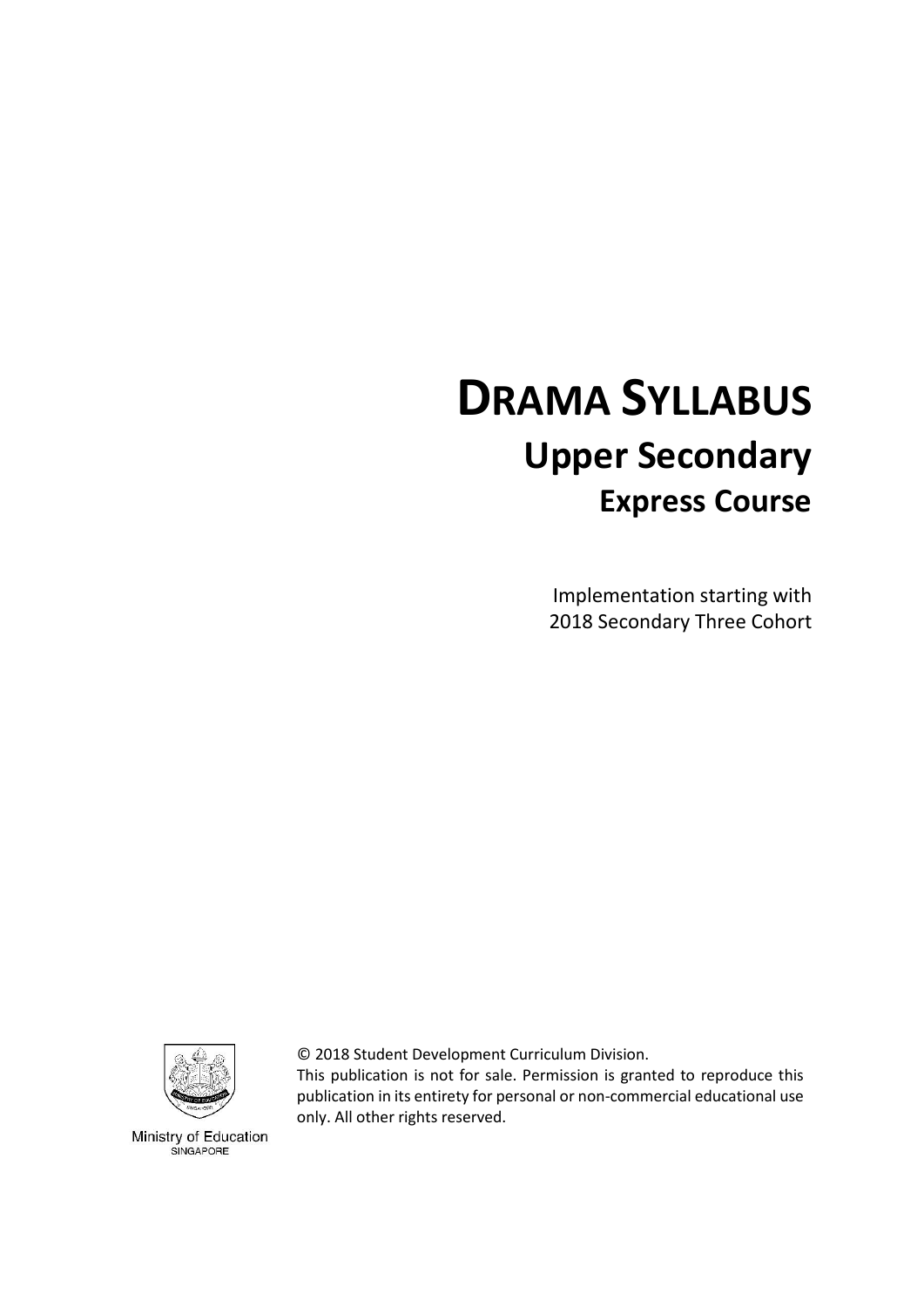# **DRAMA SYLLABUS Upper Secondary Express Course**

Implementation starting with 2018 Secondary Three Cohort



© 2018 Student Development Curriculum Division.

This publication is not for sale. Permission is granted to reproduce this publication in its entirety for personal or non-commercial educational use only. All other rights reserved.

Ministry of Education SINGAPORE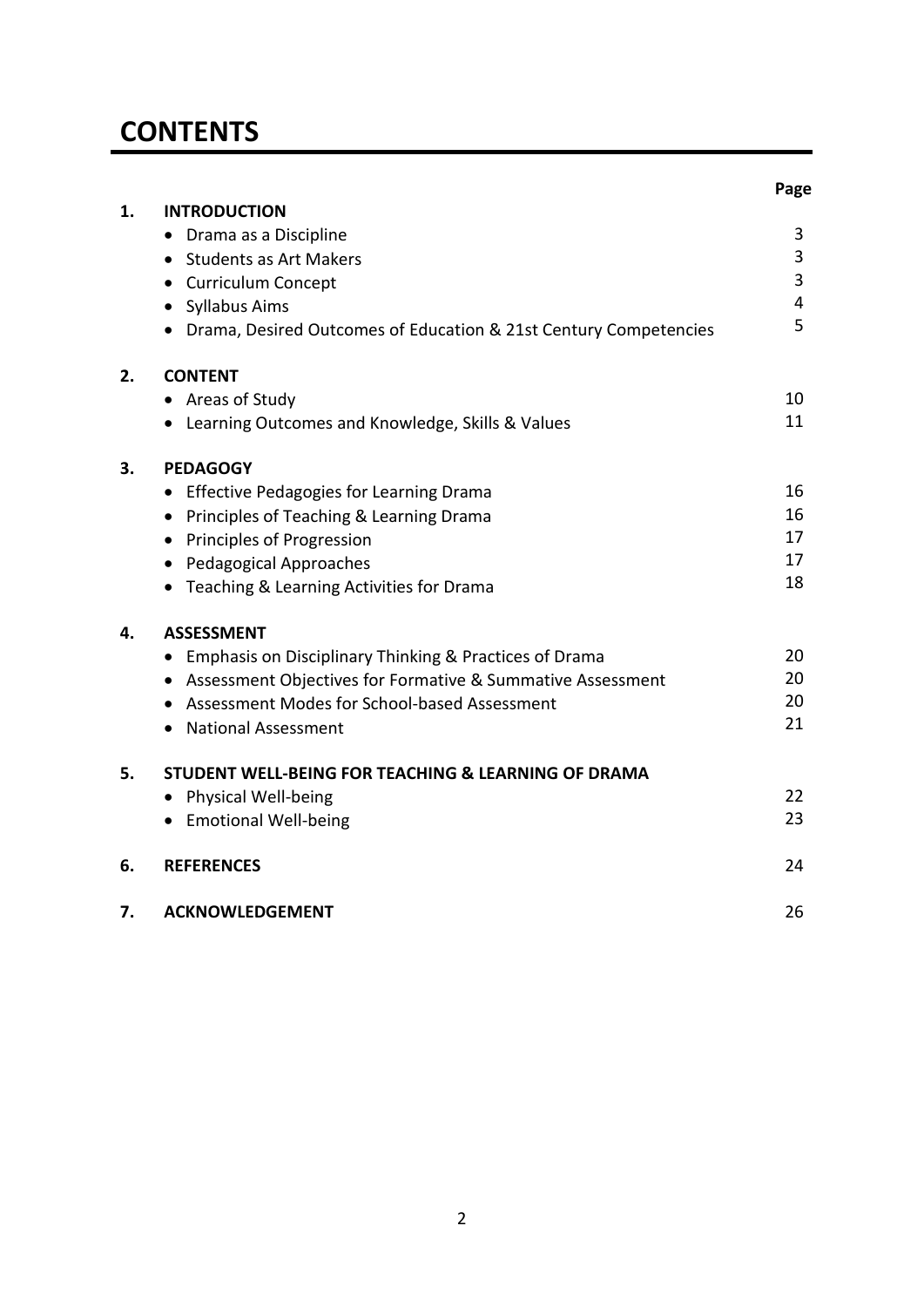# **CONTENTS**

|    |                                                                  | Page |
|----|------------------------------------------------------------------|------|
| 1. | <b>INTRODUCTION</b>                                              |      |
|    | Drama as a Discipline                                            | 3    |
|    | <b>Students as Art Makers</b><br>$\bullet$                       | 3    |
|    | • Curriculum Concept                                             | 3    |
|    | Syllabus Aims                                                    | 4    |
|    | Drama, Desired Outcomes of Education & 21st Century Competencies | 5    |
| 2. | <b>CONTENT</b>                                                   |      |
|    | Areas of Study<br>$\bullet$                                      | 10   |
|    | • Learning Outcomes and Knowledge, Skills & Values               | 11   |
| 3. | <b>PEDAGOGY</b>                                                  |      |
|    | <b>Effective Pedagogies for Learning Drama</b>                   | 16   |
|    | Principles of Teaching & Learning Drama<br>$\bullet$             | 16   |
|    | Principles of Progression                                        | 17   |
|    | <b>Pedagogical Approaches</b>                                    | 17   |
|    | Teaching & Learning Activities for Drama                         | 18   |
| 4. | <b>ASSESSMENT</b>                                                |      |
|    | Emphasis on Disciplinary Thinking & Practices of Drama           | 20   |
|    | Assessment Objectives for Formative & Summative Assessment       | 20   |
|    | Assessment Modes for School-based Assessment                     | 20   |
|    | <b>National Assessment</b>                                       | 21   |
| 5. | STUDENT WELL-BEING FOR TEACHING & LEARNING OF DRAMA              |      |
|    | Physical Well-being                                              | 22   |
|    | • Emotional Well-being                                           | 23   |
| 6. | <b>REFERENCES</b>                                                | 24   |
| 7. | <b>ACKNOWLEDGEMENT</b>                                           | 26   |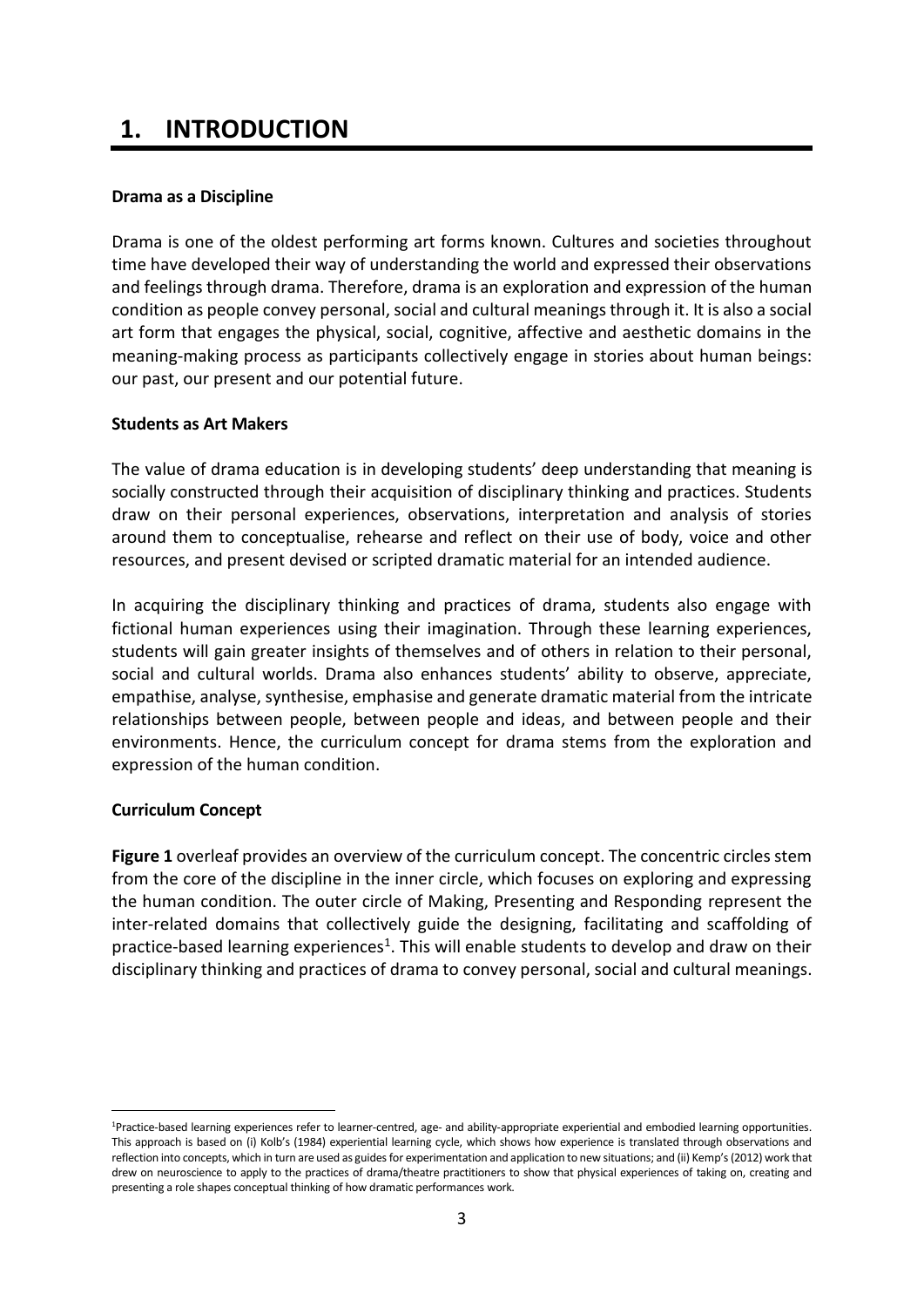# **1. INTRODUCTION**

#### <span id="page-2-0"></span>**Drama as a Discipline**

Drama is one of the oldest performing art forms known. Cultures and societies throughout time have developed their way of understanding the world and expressed their observations and feelings through drama. Therefore, drama is an exploration and expression of the human condition as people convey personal, social and cultural meanings through it. It is also a social art form that engages the physical, social, cognitive, affective and aesthetic domains in the meaning-making process as participants collectively engage in stories about human beings: our past, our present and our potential future.

#### <span id="page-2-1"></span>**Students as Art Makers**

The value of drama education is in developing students' deep understanding that meaning is socially constructed through their acquisition of disciplinary thinking and practices. Students draw on their personal experiences, observations, interpretation and analysis of stories around them to conceptualise, rehearse and reflect on their use of body, voice and other resources, and present devised or scripted dramatic material for an intended audience.

In acquiring the disciplinary thinking and practices of drama, students also engage with fictional human experiences using their imagination. Through these learning experiences, students will gain greater insights of themselves and of others in relation to their personal, social and cultural worlds. Drama also enhances students' ability to observe, appreciate, empathise, analyse, synthesise, emphasise and generate dramatic material from the intricate relationships between people, between people and ideas, and between people and their environments. Hence, the curriculum concept for drama stems from the exploration and expression of the human condition.

#### <span id="page-2-2"></span>**Curriculum Concept**

1

**Figure 1** overleaf provides an overview of the curriculum concept. The concentric circles stem from the core of the discipline in the inner circle, which focuses on exploring and expressing the human condition. The outer circle of Making, Presenting and Responding represent the inter-related domains that collectively guide the designing, facilitating and scaffolding of practice-based learning experiences<sup>1</sup>. This will enable students to develop and draw on their disciplinary thinking and practices of drama to convey personal, social and cultural meanings.

<sup>1</sup>Practice-based learning experiences refer to learner-centred, age- and ability-appropriate experiential and embodied learning opportunities. This approach is based on (i) Kolb's (1984) experiential learning cycle, which shows how experience is translated through observations and reflection into concepts, which in turn are used as guides for experimentation and application to new situations; and (ii) Kemp's (2012) work that drew on neuroscience to apply to the practices of drama/theatre practitioners to show that physical experiences of taking on, creating and presenting a role shapes conceptual thinking of how dramatic performances work.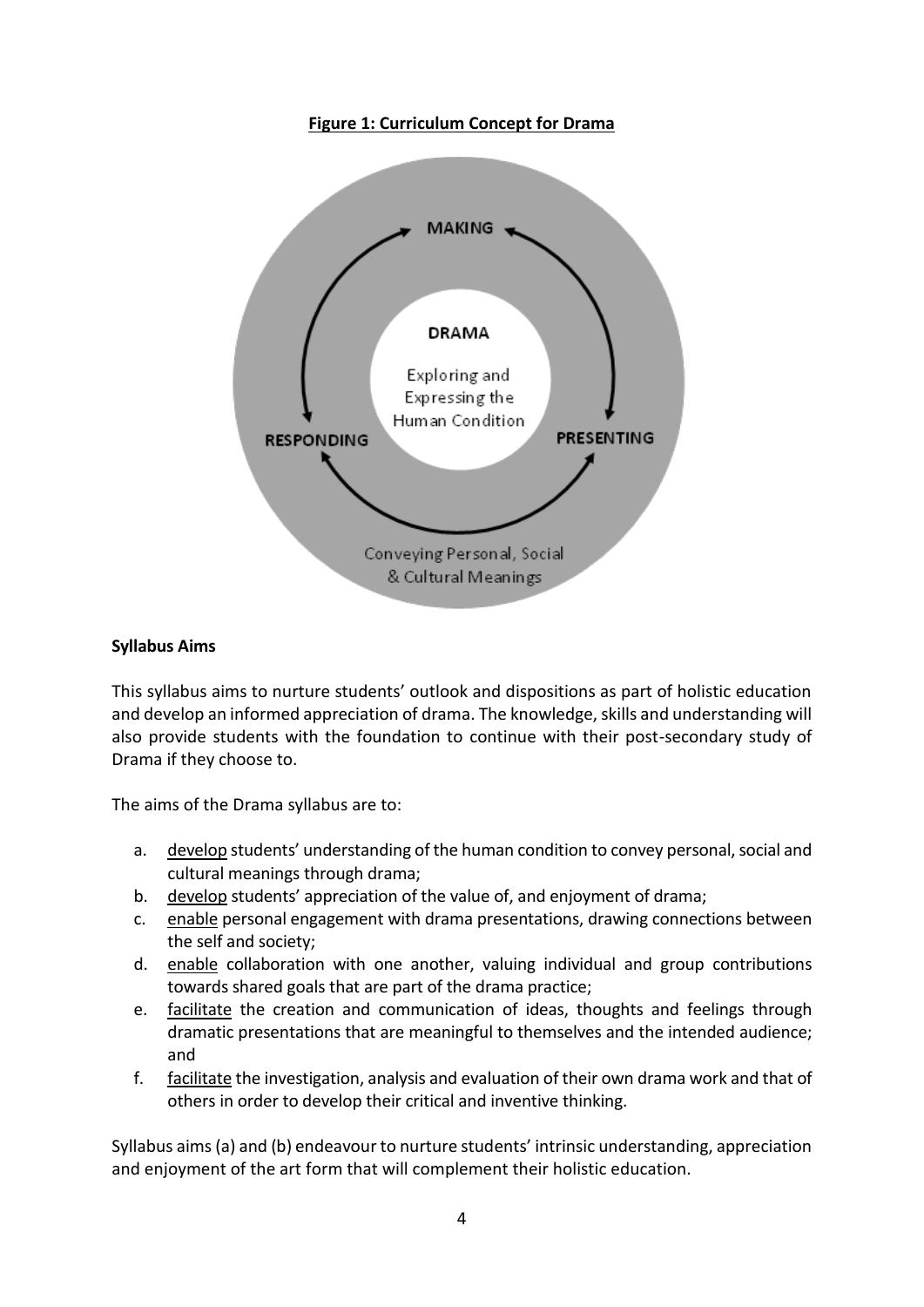#### **Figure 1: Curriculum Concept for Drama**



#### <span id="page-3-0"></span>**Syllabus Aims**

This syllabus aims to nurture students' outlook and dispositions as part of holistic education and develop an informed appreciation of drama. The knowledge, skills and understanding will also provide students with the foundation to continue with their post-secondary study of Drama if they choose to.

The aims of the Drama syllabus are to:

- a. develop students' understanding of the human condition to convey personal, social and cultural meanings through drama;
- b. develop students' appreciation of the value of, and enjoyment of drama;
- c. enable personal engagement with drama presentations, drawing connections between the self and society;
- d. enable collaboration with one another, valuing individual and group contributions towards shared goals that are part of the drama practice;
- e. facilitate the creation and communication of ideas, thoughts and feelings through dramatic presentations that are meaningful to themselves and the intended audience; and
- f. facilitate the investigation, analysis and evaluation of their own drama work and that of others in order to develop their critical and inventive thinking.

Syllabus aims (a) and (b) endeavour to nurture students' intrinsic understanding, appreciation and enjoyment of the art form that will complement their holistic education.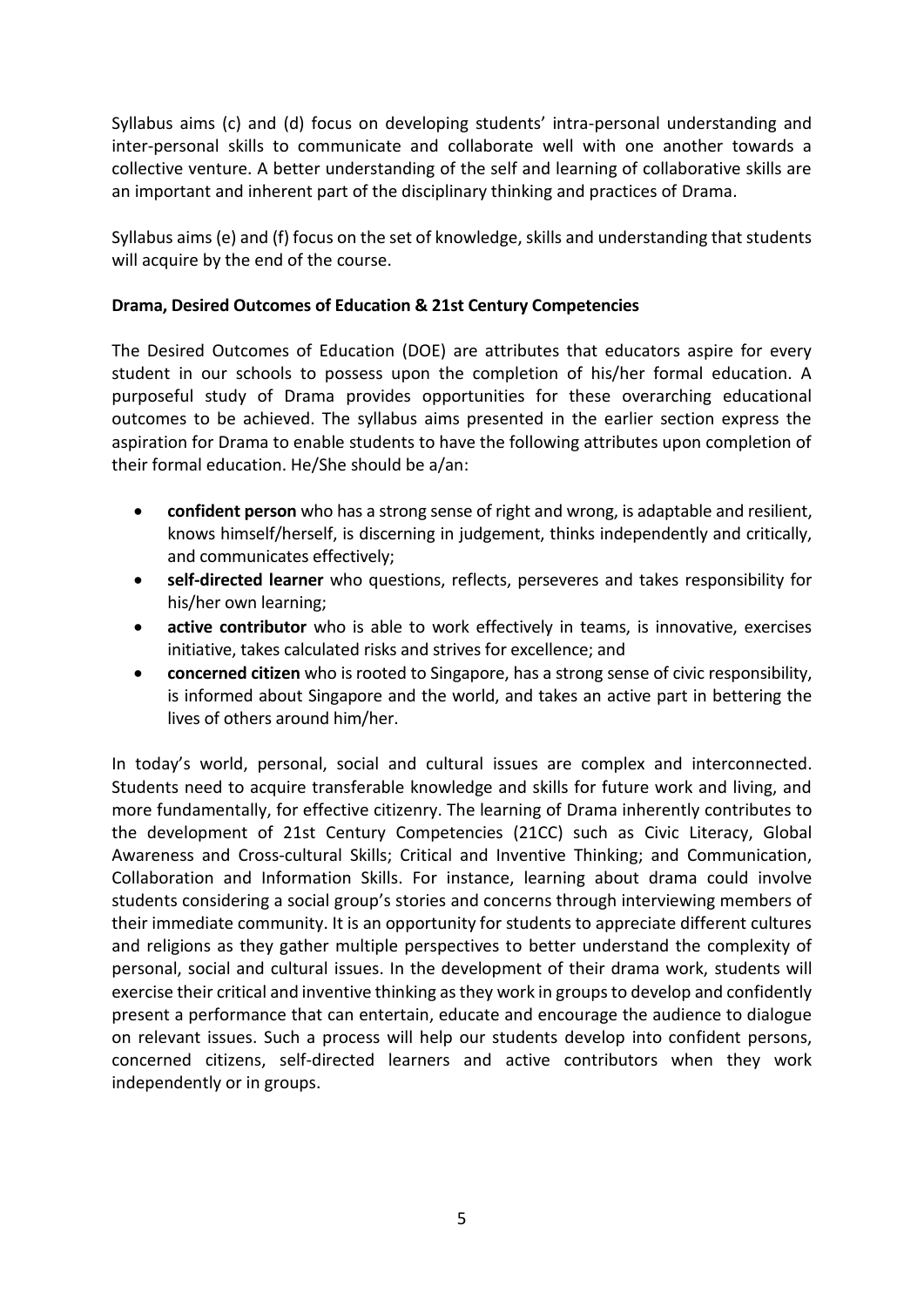Syllabus aims (c) and (d) focus on developing students' intra-personal understanding and inter-personal skills to communicate and collaborate well with one another towards a collective venture. A better understanding of the self and learning of collaborative skills are an important and inherent part of the disciplinary thinking and practices of Drama.

Syllabus aims (e) and (f) focus on the set of knowledge, skills and understanding that students will acquire by the end of the course.

#### <span id="page-4-0"></span>**Drama, Desired Outcomes of Education & 21st Century Competencies**

The Desired Outcomes of Education (DOE) are attributes that educators aspire for every student in our schools to possess upon the completion of his/her formal education. A purposeful study of Drama provides opportunities for these overarching educational outcomes to be achieved. The syllabus aims presented in the earlier section express the aspiration for Drama to enable students to have the following attributes upon completion of their formal education. He/She should be a/an:

- **confident person** who has a strong sense of right and wrong, is adaptable and resilient, knows himself/herself, is discerning in judgement, thinks independently and critically, and communicates effectively;
- **self-directed learner** who questions, reflects, perseveres and takes responsibility for his/her own learning;
- **• active contributor** who is able to work effectively in teams, is innovative, exercises initiative, takes calculated risks and strives for excellence; and
- **concerned citizen** who is rooted to Singapore, has a strong sense of civic responsibility, is informed about Singapore and the world, and takes an active part in bettering the lives of others around him/her.

In today's world, personal, social and cultural issues are complex and interconnected. Students need to acquire transferable knowledge and skills for future work and living, and more fundamentally, for effective citizenry. The learning of Drama inherently contributes to the development of 21st Century Competencies (21CC) such as Civic Literacy, Global Awareness and Cross-cultural Skills; Critical and Inventive Thinking; and Communication, Collaboration and Information Skills. For instance, learning about drama could involve students considering a social group's stories and concerns through interviewing members of their immediate community. It is an opportunity for students to appreciate different cultures and religions as they gather multiple perspectives to better understand the complexity of personal, social and cultural issues. In the development of their drama work, students will exercise their critical and inventive thinking as they work in groups to develop and confidently present a performance that can entertain, educate and encourage the audience to dialogue on relevant issues. Such a process will help our students develop into confident persons, concerned citizens, self-directed learners and active contributors when they work independently or in groups.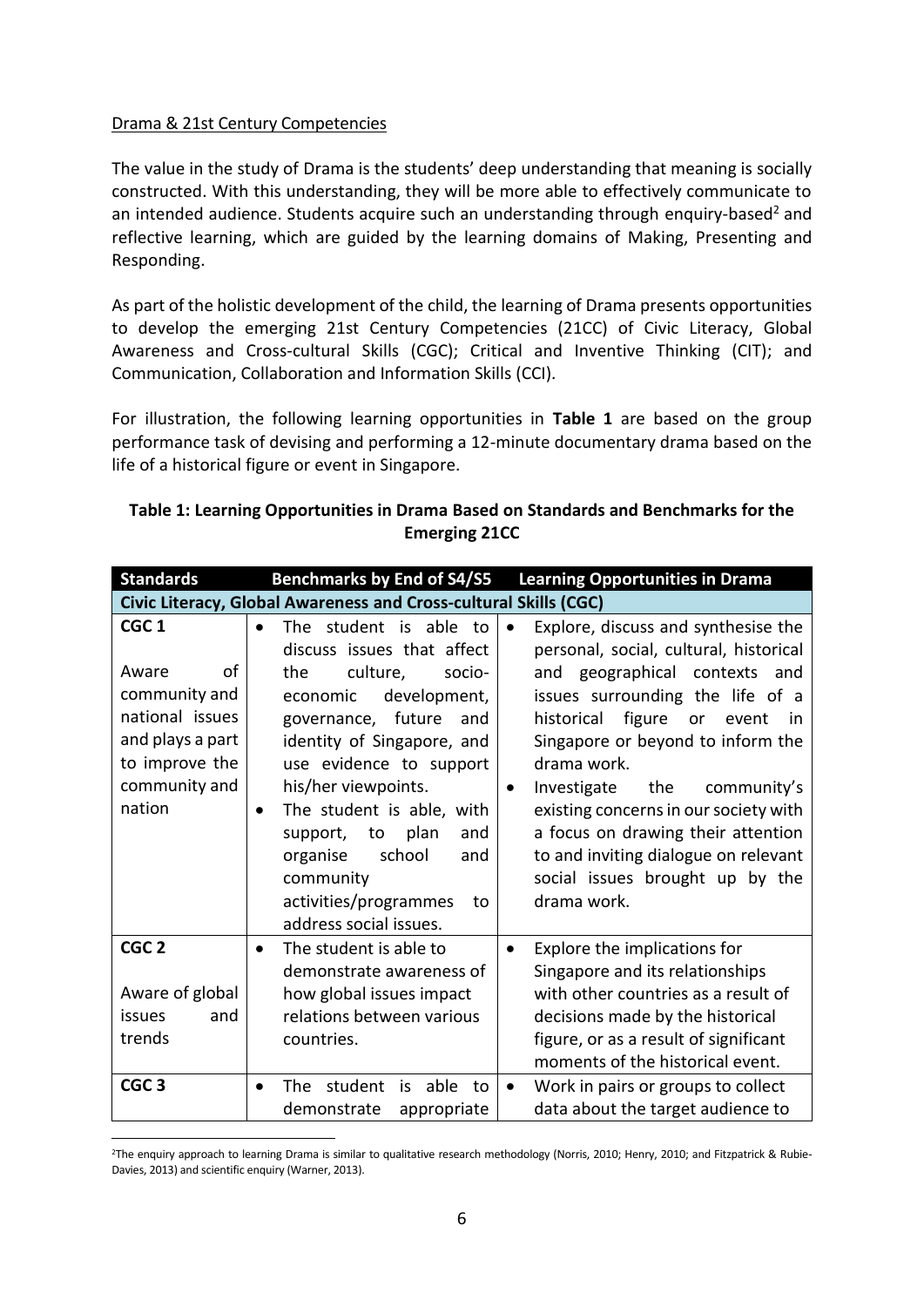#### Drama & 21st Century Competencies

1

The value in the study of Drama is the students' deep understanding that meaning is socially constructed. With this understanding, they will be more able to effectively communicate to an intended audience. Students acquire such an understanding through enquiry-based<sup>2</sup> and reflective learning, which are guided by the learning domains of Making, Presenting and Responding.

As part of the holistic development of the child, the learning of Drama presents opportunities to develop the emerging 21st Century Competencies (21CC) of Civic Literacy, Global Awareness and Cross-cultural Skills (CGC); Critical and Inventive Thinking (CIT); and Communication, Collaboration and Information Skills (CCI)*.*

For illustration, the following learning opportunities in **Table 1** are based on the group performance task of devising and performing a 12-minute documentary drama based on the life of a historical figure or event in Singapore.

| <b>Standards</b>                                                                                                                     | <b>Benchmarks by End of S4/S5</b>                                                                                                                                                                                                                                                                                                                                                                        | <b>Learning Opportunities in Drama</b>                                                                                                                                                                                                                                                                                                                                                                                                                                                         |
|--------------------------------------------------------------------------------------------------------------------------------------|----------------------------------------------------------------------------------------------------------------------------------------------------------------------------------------------------------------------------------------------------------------------------------------------------------------------------------------------------------------------------------------------------------|------------------------------------------------------------------------------------------------------------------------------------------------------------------------------------------------------------------------------------------------------------------------------------------------------------------------------------------------------------------------------------------------------------------------------------------------------------------------------------------------|
|                                                                                                                                      | Civic Literacy, Global Awareness and Cross-cultural Skills (CGC)                                                                                                                                                                                                                                                                                                                                         |                                                                                                                                                                                                                                                                                                                                                                                                                                                                                                |
| CGC <sub>1</sub><br>οf<br>Aware<br>community and<br>national issues<br>and plays a part<br>to improve the<br>community and<br>nation | The student is able to<br>discuss issues that affect<br>culture,<br>the<br>socio-<br>economic<br>development,<br>governance, future<br>and<br>identity of Singapore, and<br>use evidence to support<br>his/her viewpoints.<br>The student is able, with<br>$\bullet$<br>plan<br>to<br>and<br>support,<br>school<br>organise<br>and<br>community<br>activities/programmes<br>to<br>address social issues. | Explore, discuss and synthesise the<br>$\bullet$<br>personal, social, cultural, historical<br>and geographical contexts<br>and<br>issues surrounding the life of a<br>figure<br>historical<br>or<br>event<br>in<br>Singapore or beyond to inform the<br>drama work.<br>Investigate<br>the<br>community's<br>$\bullet$<br>existing concerns in our society with<br>a focus on drawing their attention<br>to and inviting dialogue on relevant<br>social issues brought up by the<br>drama work. |
| CGC <sub>2</sub><br>Aware of global<br>issues<br>and<br>trends                                                                       | The student is able to<br>$\bullet$<br>demonstrate awareness of<br>how global issues impact<br>relations between various<br>countries.                                                                                                                                                                                                                                                                   | Explore the implications for<br>$\bullet$<br>Singapore and its relationships<br>with other countries as a result of<br>decisions made by the historical<br>figure, or as a result of significant<br>moments of the historical event.                                                                                                                                                                                                                                                           |
| CGC <sub>3</sub>                                                                                                                     | student<br>is<br>able<br>The<br>to<br>demonstrate<br>appropriate                                                                                                                                                                                                                                                                                                                                         | Work in pairs or groups to collect<br>$\bullet$<br>data about the target audience to                                                                                                                                                                                                                                                                                                                                                                                                           |

#### **Table 1: Learning Opportunities in Drama Based on Standards and Benchmarks for the Emerging 21CC**

<sup>&</sup>lt;sup>2</sup>The enquiry approach to learning Drama is similar to qualitative research methodology (Norris, 2010; Henry, 2010; and Fitzpatrick & Rubie-Davies, 2013) and scientific enquiry (Warner, 2013).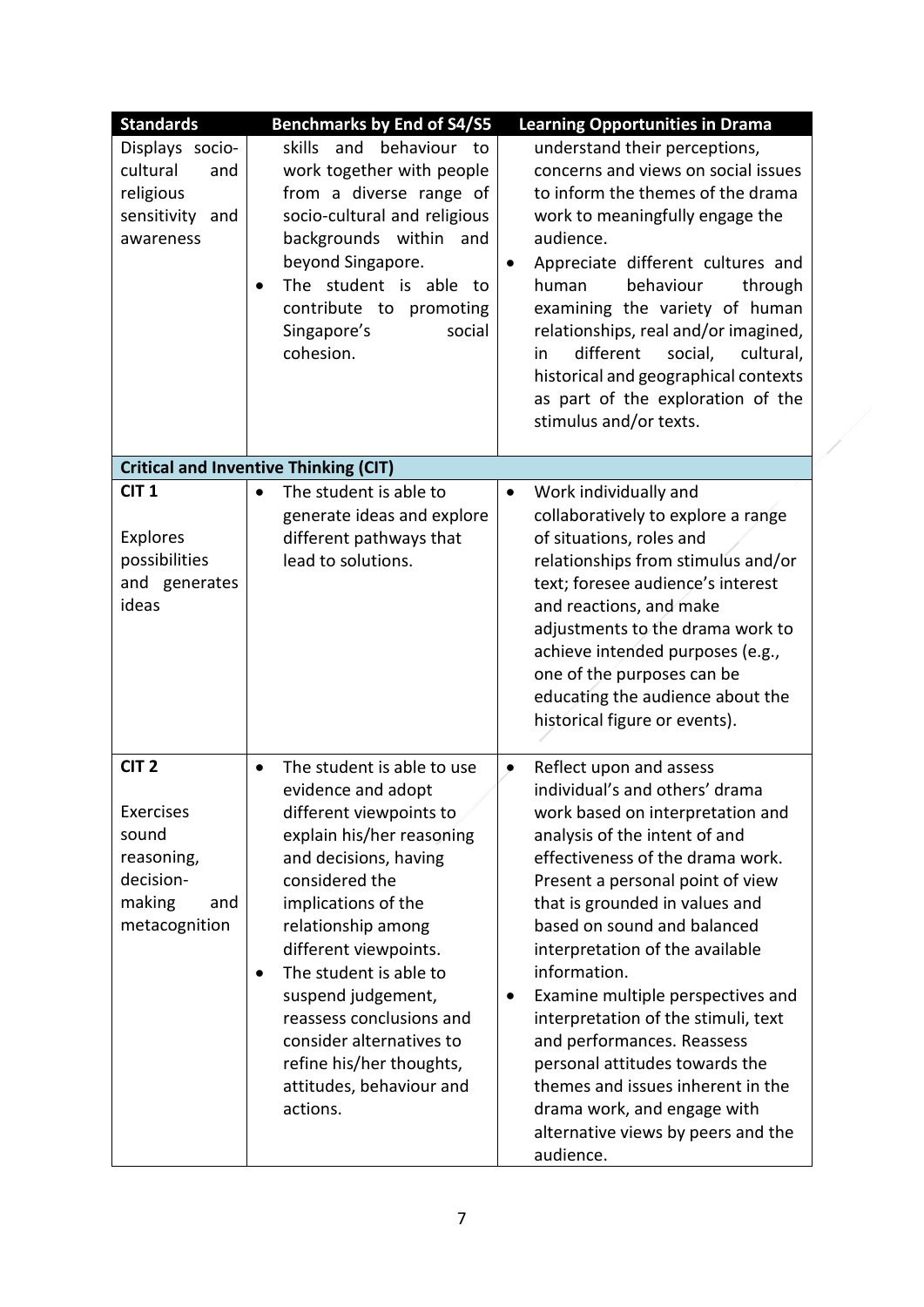| <b>Standards</b>                                                                                    | <b>Benchmarks by End of S4/S5</b>                                                                                                                                                                                                                                                                                                                                                                                               | <b>Learning Opportunities in Drama</b>                                                                                                                                                                                                                                                                                                                                                                                                                                                                                                                                                                          |
|-----------------------------------------------------------------------------------------------------|---------------------------------------------------------------------------------------------------------------------------------------------------------------------------------------------------------------------------------------------------------------------------------------------------------------------------------------------------------------------------------------------------------------------------------|-----------------------------------------------------------------------------------------------------------------------------------------------------------------------------------------------------------------------------------------------------------------------------------------------------------------------------------------------------------------------------------------------------------------------------------------------------------------------------------------------------------------------------------------------------------------------------------------------------------------|
| Displays socio-<br>cultural<br>and<br>religious<br>sensitivity and<br>awareness                     | skills<br>and<br>behaviour to<br>work together with people<br>from a diverse range of<br>socio-cultural and religious<br>backgrounds within<br>and<br>beyond Singapore.<br>The student is able to<br>contribute to promoting<br>Singapore's<br>social<br>cohesion.                                                                                                                                                              | understand their perceptions,<br>concerns and views on social issues<br>to inform the themes of the drama<br>work to meaningfully engage the<br>audience.<br>Appreciate different cultures and<br>behaviour<br>human<br>through<br>examining the variety of human<br>relationships, real and/or imagined,<br>different<br>social,<br>cultural,<br>in<br>historical and geographical contexts<br>as part of the exploration of the<br>stimulus and/or texts.                                                                                                                                                     |
|                                                                                                     | <b>Critical and Inventive Thinking (CIT)</b>                                                                                                                                                                                                                                                                                                                                                                                    |                                                                                                                                                                                                                                                                                                                                                                                                                                                                                                                                                                                                                 |
| CIT <sub>1</sub><br>Explores<br>possibilities<br>and generates<br>ideas                             | The student is able to<br>generate ideas and explore<br>different pathways that<br>lead to solutions.                                                                                                                                                                                                                                                                                                                           | Work individually and<br>$\bullet$<br>collaboratively to explore a range<br>of situations, roles and<br>relationships from stimulus and/or<br>text; foresee audience's interest<br>and reactions, and make<br>adjustments to the drama work to<br>achieve intended purposes (e.g.,<br>one of the purposes can be<br>educating the audience about the<br>historical figure or events).                                                                                                                                                                                                                           |
| CIT <sub>2</sub><br>Exercises<br>sound<br>reasoning,<br>decision-<br>making<br>and<br>metacognition | The student is able to use<br>$\bullet$<br>evidence and adopt<br>different viewpoints to<br>explain his/her reasoning<br>and decisions, having<br>considered the<br>implications of the<br>relationship among<br>different viewpoints.<br>The student is able to<br>$\bullet$<br>suspend judgement,<br>reassess conclusions and<br>consider alternatives to<br>refine his/her thoughts,<br>attitudes, behaviour and<br>actions. | Reflect upon and assess<br>$\bullet$<br>individual's and others' drama<br>work based on interpretation and<br>analysis of the intent of and<br>effectiveness of the drama work.<br>Present a personal point of view<br>that is grounded in values and<br>based on sound and balanced<br>interpretation of the available<br>information.<br>Examine multiple perspectives and<br>٠<br>interpretation of the stimuli, text<br>and performances. Reassess<br>personal attitudes towards the<br>themes and issues inherent in the<br>drama work, and engage with<br>alternative views by peers and the<br>audience. |

X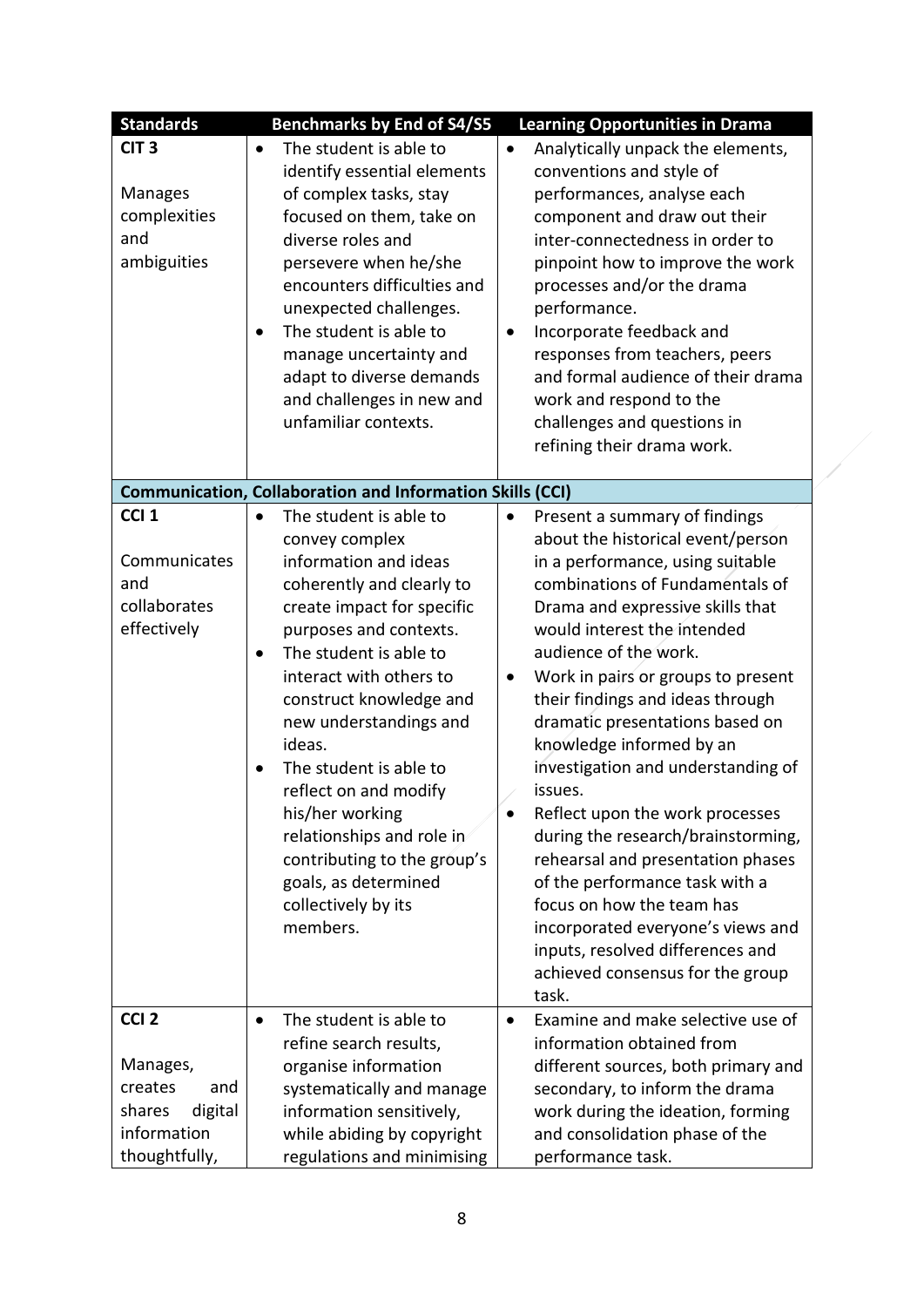| <b>Standards</b>  | <b>Benchmarks by End of S4/S5</b>                                | <b>Learning Opportunities in Drama</b>          |
|-------------------|------------------------------------------------------------------|-------------------------------------------------|
| CIT <sub>3</sub>  | The student is able to                                           | Analytically unpack the elements,<br>$\bullet$  |
|                   | identify essential elements                                      | conventions and style of                        |
| <b>Manages</b>    | of complex tasks, stay                                           | performances, analyse each                      |
| complexities      | focused on them, take on                                         | component and draw out their                    |
| and               | diverse roles and                                                | inter-connectedness in order to                 |
| ambiguities       | persevere when he/she                                            | pinpoint how to improve the work                |
|                   | encounters difficulties and                                      | processes and/or the drama                      |
|                   | unexpected challenges.                                           | performance.                                    |
|                   | The student is able to                                           | Incorporate feedback and<br>$\bullet$           |
|                   | manage uncertainty and                                           | responses from teachers, peers                  |
|                   | adapt to diverse demands                                         | and formal audience of their drama              |
|                   | and challenges in new and                                        | work and respond to the                         |
|                   | unfamiliar contexts.                                             | challenges and questions in                     |
|                   |                                                                  | refining their drama work.                      |
|                   |                                                                  |                                                 |
|                   | <b>Communication, Collaboration and Information Skills (CCI)</b> |                                                 |
| CCI <sub>1</sub>  | The student is able to<br>$\bullet$                              | Present a summary of findings<br>$\bullet$      |
|                   | convey complex                                                   | about the historical event/person               |
| Communicates      | information and ideas                                            | in a performance, using suitable                |
| and               | coherently and clearly to                                        | combinations of Fundamentals of                 |
| collaborates      | create impact for specific                                       | Drama and expressive skills that                |
| effectively       | purposes and contexts.                                           | would interest the intended                     |
|                   | The student is able to<br>٠                                      | audience of the work.                           |
|                   | interact with others to                                          | Work in pairs or groups to present<br>$\bullet$ |
|                   | construct knowledge and                                          | their findings and ideas through                |
|                   | new understandings and                                           | dramatic presentations based on                 |
|                   | ideas.                                                           | knowledge informed by an                        |
|                   | The student is able to                                           | investigation and understanding of              |
|                   | reflect on and modify                                            | issues.                                         |
|                   | his/her working                                                  | Reflect upon the work processes<br>$\bullet$    |
|                   | relationships and role in                                        | during the research/brainstorming,              |
|                   | contributing to the group's                                      | rehearsal and presentation phases               |
|                   | goals, as determined                                             | of the performance task with a                  |
|                   | collectively by its                                              | focus on how the team has                       |
|                   | members.                                                         | incorporated everyone's views and               |
|                   |                                                                  | inputs, resolved differences and                |
|                   |                                                                  | achieved consensus for the group                |
|                   |                                                                  | task.                                           |
| CCI <sub>2</sub>  | The student is able to<br>$\bullet$                              | Examine and make selective use of<br>$\bullet$  |
|                   | refine search results,                                           | information obtained from                       |
| Manages,          | organise information                                             | different sources, both primary and             |
| creates<br>and    | systematically and manage                                        | secondary, to inform the drama                  |
| shares<br>digital | information sensitively,                                         | work during the ideation, forming               |
| information       | while abiding by copyright                                       | and consolidation phase of the                  |
| thoughtfully,     | regulations and minimising                                       | performance task.                               |

 $\sqrt{2}$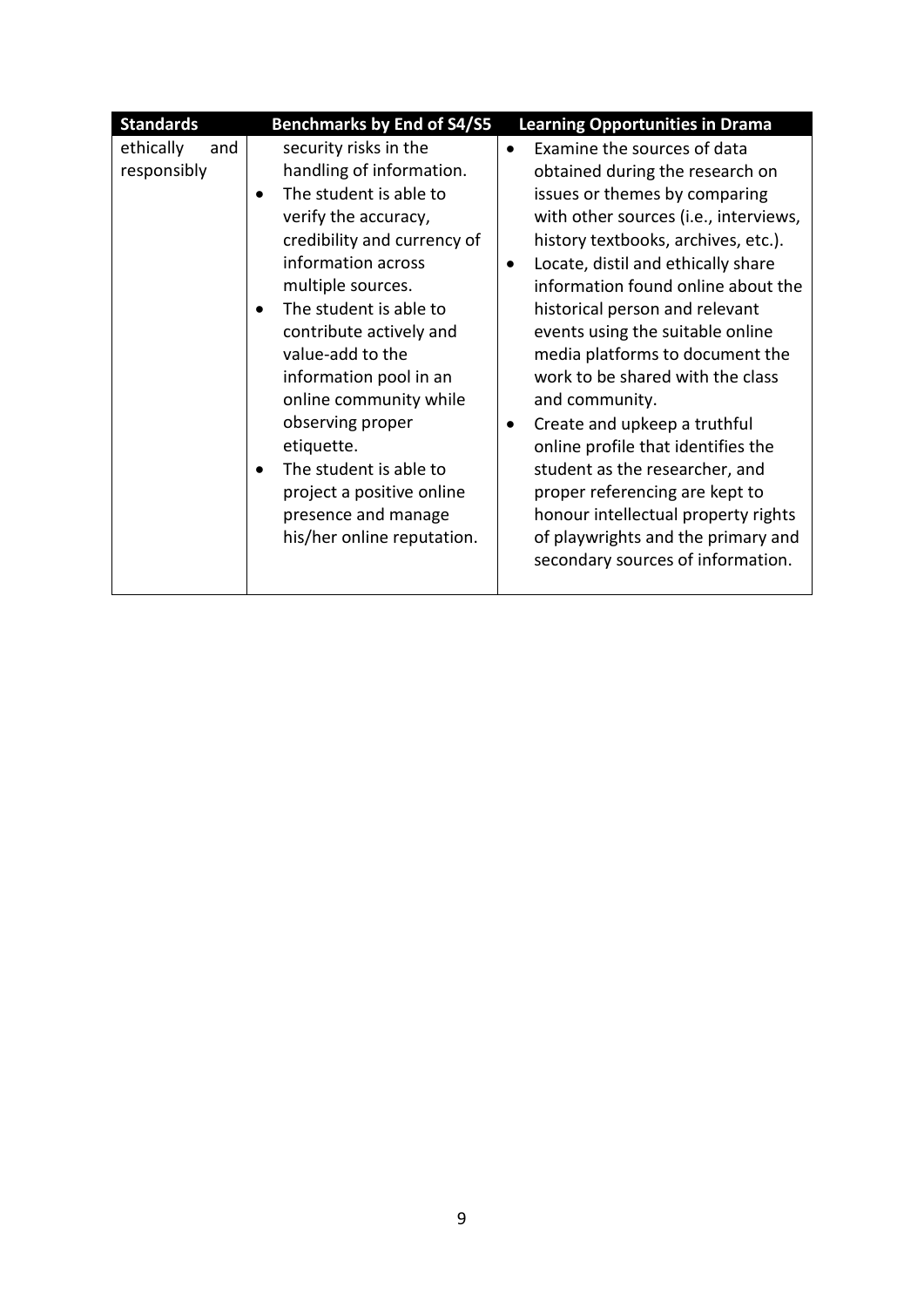| <b>Standards</b>                | <b>Benchmarks by End of S4/S5</b>                                                                                                                                                                                                                                                                                                                                                                                                                        | <b>Learning Opportunities in Drama</b>                                                                                                                                                                                                                                                                                                                                                                                                                                                                                                                                                                                                                                                                                |
|---------------------------------|----------------------------------------------------------------------------------------------------------------------------------------------------------------------------------------------------------------------------------------------------------------------------------------------------------------------------------------------------------------------------------------------------------------------------------------------------------|-----------------------------------------------------------------------------------------------------------------------------------------------------------------------------------------------------------------------------------------------------------------------------------------------------------------------------------------------------------------------------------------------------------------------------------------------------------------------------------------------------------------------------------------------------------------------------------------------------------------------------------------------------------------------------------------------------------------------|
| ethically<br>and<br>responsibly | security risks in the<br>handling of information.<br>The student is able to<br>verify the accuracy,<br>credibility and currency of<br>information across<br>multiple sources.<br>The student is able to<br>contribute actively and<br>value-add to the<br>information pool in an<br>online community while<br>observing proper<br>etiquette.<br>The student is able to<br>project a positive online<br>presence and manage<br>his/her online reputation. | Examine the sources of data<br>$\bullet$<br>obtained during the research on<br>issues or themes by comparing<br>with other sources (i.e., interviews,<br>history textbooks, archives, etc.).<br>Locate, distil and ethically share<br>$\bullet$<br>information found online about the<br>historical person and relevant<br>events using the suitable online<br>media platforms to document the<br>work to be shared with the class<br>and community.<br>Create and upkeep a truthful<br>٠<br>online profile that identifies the<br>student as the researcher, and<br>proper referencing are kept to<br>honour intellectual property rights<br>of playwrights and the primary and<br>secondary sources of information. |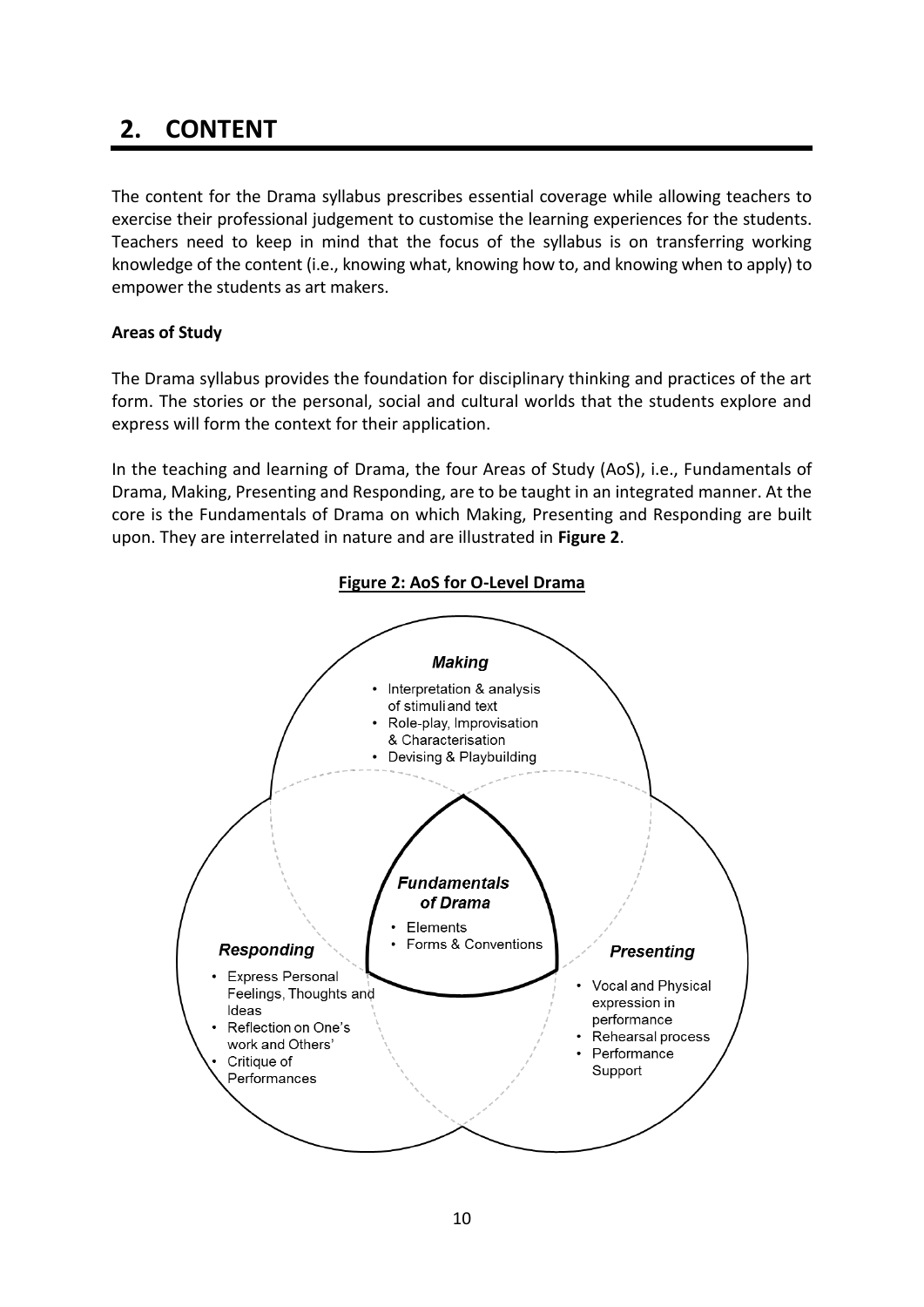# **2. CONTENT**

The content for the Drama syllabus prescribes essential coverage while allowing teachers to exercise their professional judgement to customise the learning experiences for the students. Teachers need to keep in mind that the focus of the syllabus is on transferring working knowledge of the content (i.e., knowing what, knowing how to, and knowing when to apply) to empower the students as art makers.

#### <span id="page-9-0"></span>**Areas of Study**

The Drama syllabus provides the foundation for disciplinary thinking and practices of the art form. The stories or the personal, social and cultural worlds that the students explore and express will form the context for their application.

In the teaching and learning of Drama, the four Areas of Study (AoS), i.e., Fundamentals of Drama, Making, Presenting and Responding, are to be taught in an integrated manner. At the core is the Fundamentals of Drama on which Making, Presenting and Responding are built upon. They are interrelated in nature and are illustrated in **Figure 2**.

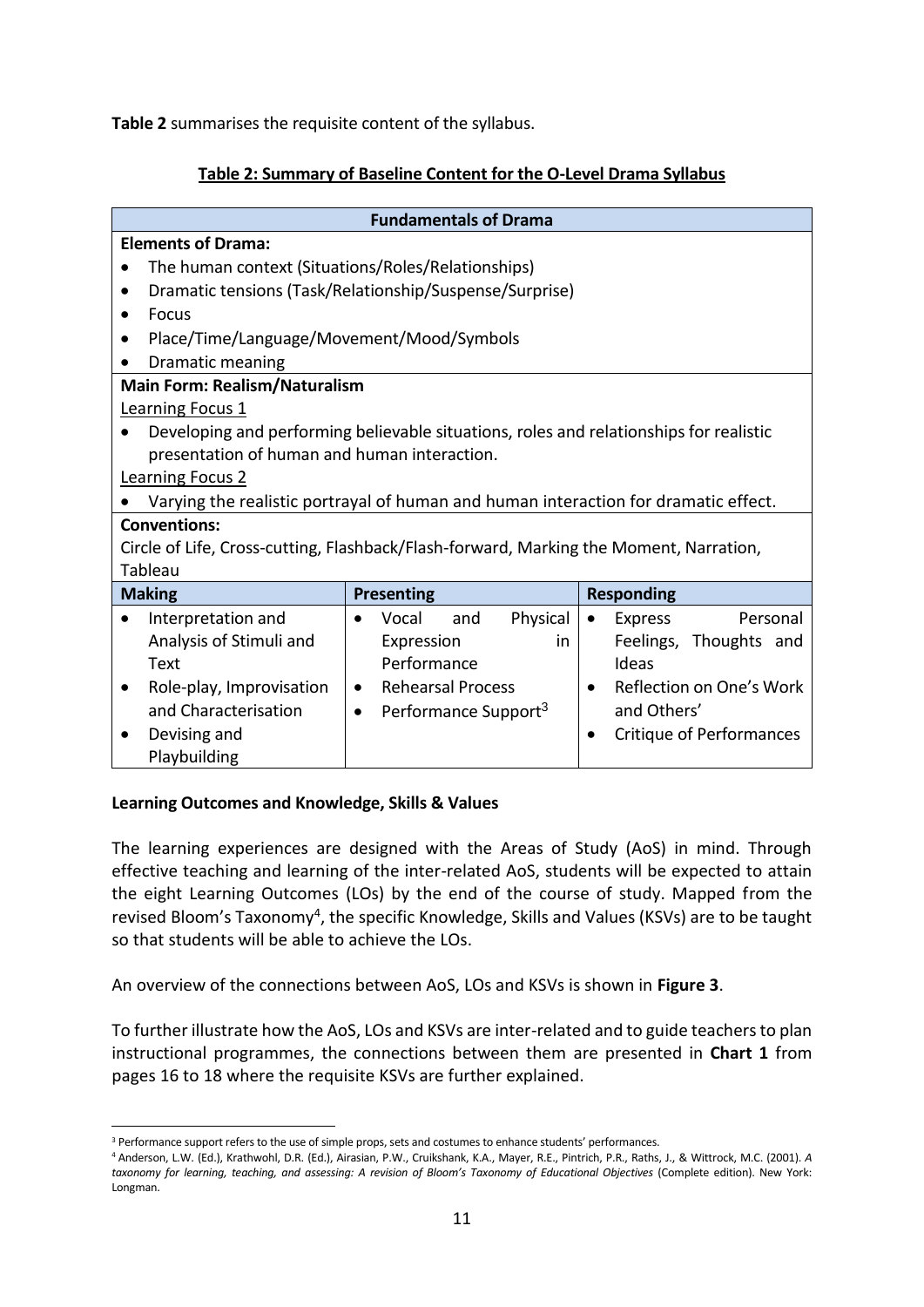<span id="page-10-0"></span>**Table 2** summarises the requisite content of the syllabus.

#### **Table 2: Summary of Baseline Content for the O-Level Drama Syllabus**

|                                                                                      | <b>Fundamentals of Drama</b>                                                           |                                  |  |  |  |  |  |  |
|--------------------------------------------------------------------------------------|----------------------------------------------------------------------------------------|----------------------------------|--|--|--|--|--|--|
| <b>Elements of Drama:</b>                                                            |                                                                                        |                                  |  |  |  |  |  |  |
| The human context (Situations/Roles/Relationships)                                   |                                                                                        |                                  |  |  |  |  |  |  |
|                                                                                      | Dramatic tensions (Task/Relationship/Suspense/Surprise)                                |                                  |  |  |  |  |  |  |
| Focus<br>٠                                                                           |                                                                                        |                                  |  |  |  |  |  |  |
| Place/Time/Language/Movement/Mood/Symbols                                            |                                                                                        |                                  |  |  |  |  |  |  |
| Dramatic meaning<br>$\bullet$                                                        |                                                                                        |                                  |  |  |  |  |  |  |
| <b>Main Form: Realism/Naturalism</b>                                                 |                                                                                        |                                  |  |  |  |  |  |  |
| <b>Learning Focus 1</b>                                                              |                                                                                        |                                  |  |  |  |  |  |  |
|                                                                                      | Developing and performing believable situations, roles and relationships for realistic |                                  |  |  |  |  |  |  |
| presentation of human and human interaction.                                         |                                                                                        |                                  |  |  |  |  |  |  |
| <b>Learning Focus 2</b>                                                              |                                                                                        |                                  |  |  |  |  |  |  |
|                                                                                      | Varying the realistic portrayal of human and human interaction for dramatic effect.    |                                  |  |  |  |  |  |  |
| <b>Conventions:</b>                                                                  |                                                                                        |                                  |  |  |  |  |  |  |
|                                                                                      | Circle of Life, Cross-cutting, Flashback/Flash-forward, Marking the Moment, Narration, |                                  |  |  |  |  |  |  |
| Tableau                                                                              |                                                                                        |                                  |  |  |  |  |  |  |
| <b>Making</b>                                                                        | <b>Presenting</b>                                                                      | <b>Responding</b>                |  |  |  |  |  |  |
| Interpretation and<br>$\bullet$                                                      | Physical<br>Vocal<br>and<br>$\bullet$                                                  | Personal<br>Express<br>$\bullet$ |  |  |  |  |  |  |
| Analysis of Stimuli and                                                              | Expression<br>in                                                                       | Feelings, Thoughts and           |  |  |  |  |  |  |
| Text                                                                                 | Performance<br>Ideas                                                                   |                                  |  |  |  |  |  |  |
| Role-play, Improvisation                                                             | <b>Rehearsal Process</b><br>Reflection on One's Work<br>$\bullet$                      |                                  |  |  |  |  |  |  |
| and Characterisation<br>and Others'<br>Performance Support <sup>3</sup><br>$\bullet$ |                                                                                        |                                  |  |  |  |  |  |  |
| Devising and                                                                         | Critique of Performances                                                               |                                  |  |  |  |  |  |  |
| Playbuilding                                                                         |                                                                                        |                                  |  |  |  |  |  |  |

#### **Learning Outcomes and Knowledge, Skills & Values**

1

The learning experiences are designed with the Areas of Study (AoS) in mind. Through effective teaching and learning of the inter-related AoS, students will be expected to attain the eight Learning Outcomes (LOs) by the end of the course of study. Mapped from the revised Bloom's Taxonomy<sup>4</sup>, the specific Knowledge, Skills and Values (KSVs) are to be taught so that students will be able to achieve the LOs.

An overview of the connections between AoS, LOs and KSVs is shown in **Figure 3**.

To further illustrate how the AoS, LOs and KSVs are inter-related and to guide teachers to plan instructional programmes, the connections between them are presented in **Chart 1** from pages 16 to 18 where the requisite KSVs are further explained.

<sup>&</sup>lt;sup>3</sup> Performance support refers to the use of simple props, sets and costumes to enhance students' performances.

<sup>4</sup> Anderson, L.W. (Ed.), Krathwohl, D.R. (Ed.), Airasian, P.W., Cruikshank, K.A., Mayer, R.E., Pintrich, P.R., Raths, J., & Wittrock, M.C. (2001). *A taxonomy for learning, teaching, and assessing: A revision of Bloom's Taxonomy of Educational Objectives* (Complete edition). New York: Longman.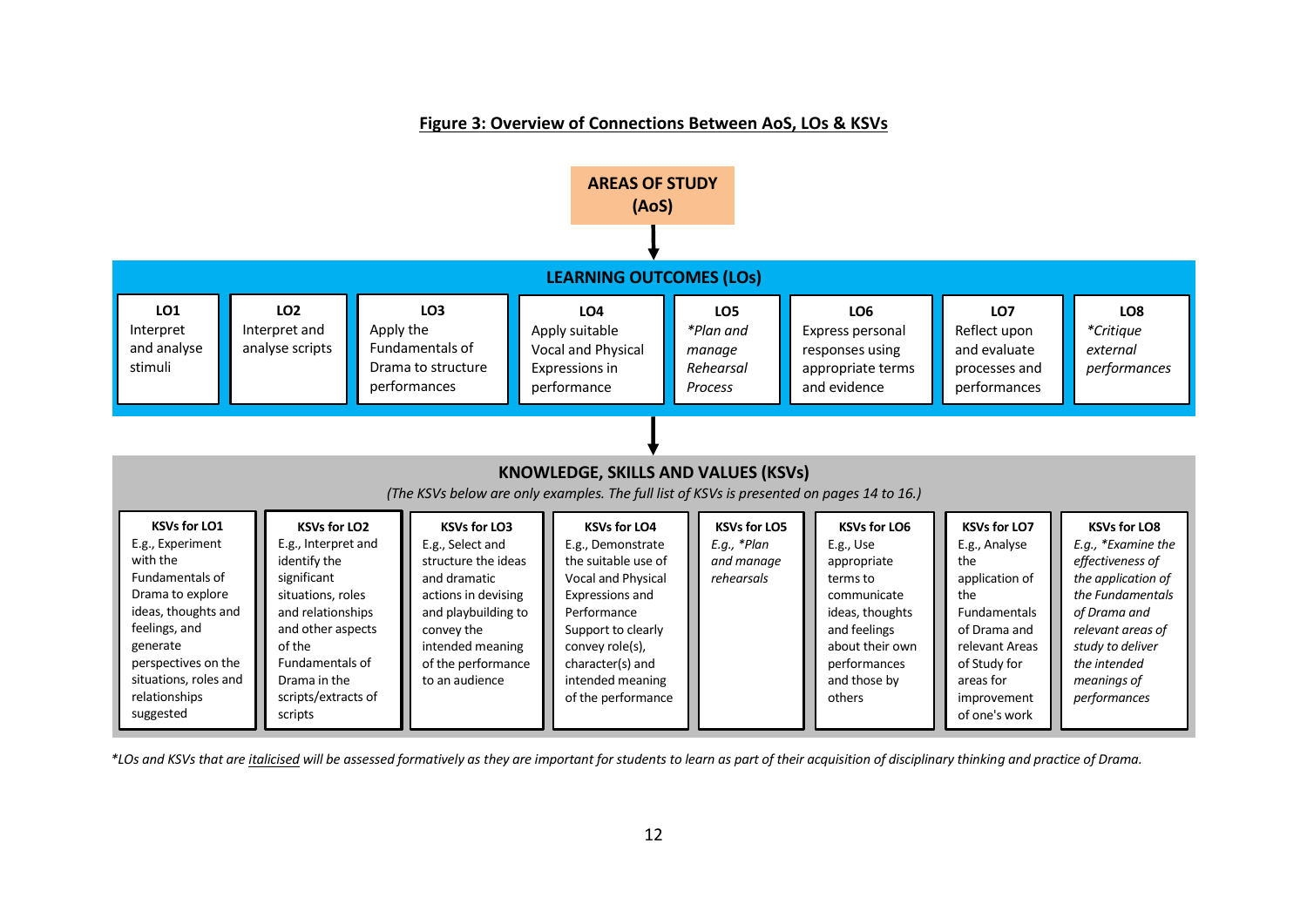#### **Figure 3: Overview of Connections Between AoS, LOs & KSVs**



*\*LOs and KSVs that are italicised will be assessed formatively as they are important for students to learn as part of their acquisition of disciplinary thinking and practice of Drama.*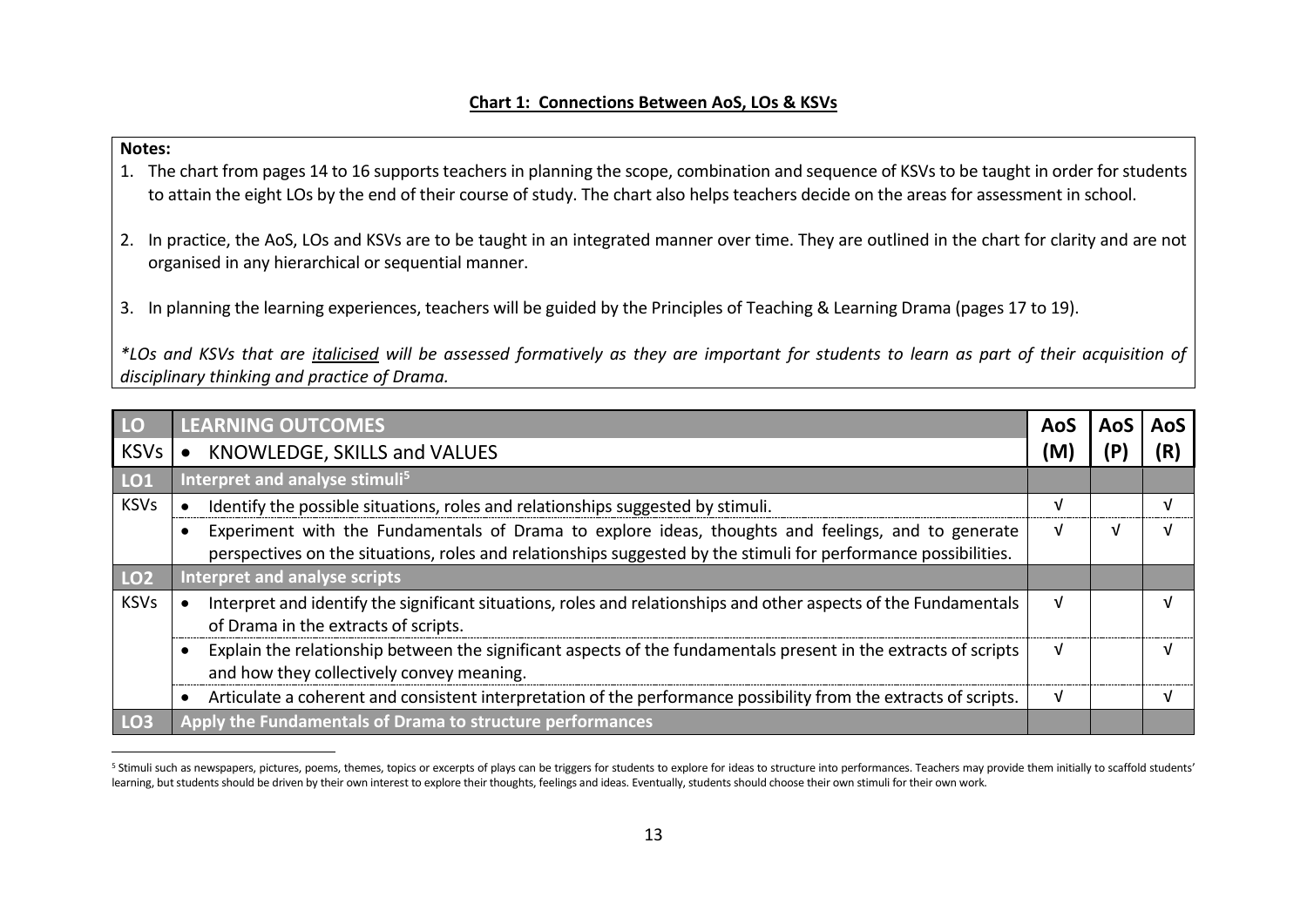#### **Notes:**

 $\overline{a}$ 

- 1. The chart from pages 14 to 16 supports teachers in planning the scope, combination and sequence of KSVs to be taught in order for students to attain the eight LOs by the end of their course of study. The chart also helps teachers decide on the areas for assessment in school.
- 2. In practice, the AoS, LOs and KSVs are to be taught in an integrated manner over time. They are outlined in the chart for clarity and are not organised in any hierarchical or sequential manner.
- 3. In planning the learning experiences, teachers will be guided by the Principles of Teaching & Learning Drama (pages 17 to 19).

*\*LOs and KSVs that are italicised will be assessed formatively as they are important for students to learn as part of their acquisition of disciplinary thinking and practice of Drama.*

| <b>LO</b>       | <b>LEARNING OUTCOMES</b>                                                                                                                                                                                              | AOS | AoS |
|-----------------|-----------------------------------------------------------------------------------------------------------------------------------------------------------------------------------------------------------------------|-----|-----|
| <b>KSVs</b>     | KNOWLEDGE, SKILLS and VALUES                                                                                                                                                                                          | M   |     |
| LO <sub>1</sub> | Interpret and analyse stimuli <sup>5</sup>                                                                                                                                                                            |     |     |
| <b>KSVs</b>     | Identify the possible situations, roles and relationships suggested by stimuli.                                                                                                                                       |     |     |
|                 | Experiment with the Fundamentals of Drama to explore ideas, thoughts and feelings, and to generate<br>perspectives on the situations, roles and relationships suggested by the stimuli for performance possibilities. |     |     |
| LO <sub>2</sub> | Interpret and analyse scripts                                                                                                                                                                                         |     |     |
| <b>KSVs</b>     | Interpret and identify the significant situations, roles and relationships and other aspects of the Fundamentals<br>of Drama in the extracts of scripts.                                                              | v   |     |
|                 | Explain the relationship between the significant aspects of the fundamentals present in the extracts of scripts<br>and how they collectively convey meaning.                                                          |     |     |
|                 | Articulate a coherent and consistent interpretation of the performance possibility from the extracts of scripts.                                                                                                      | V   |     |
| LO <sub>3</sub> | Apply the Fundamentals of Drama to structure performances                                                                                                                                                             |     |     |

<sup>&</sup>lt;sup>5</sup> Stimuli such as newspapers, pictures, poems, themes, topics or excerpts of plays can be triggers for students to explore for ideas to structure into performances. Teachers may provide them initially to scaffold student learning, but students should be driven by their own interest to explore their thoughts, feelings and ideas. Eventually, students should choose their own stimuli for their own work.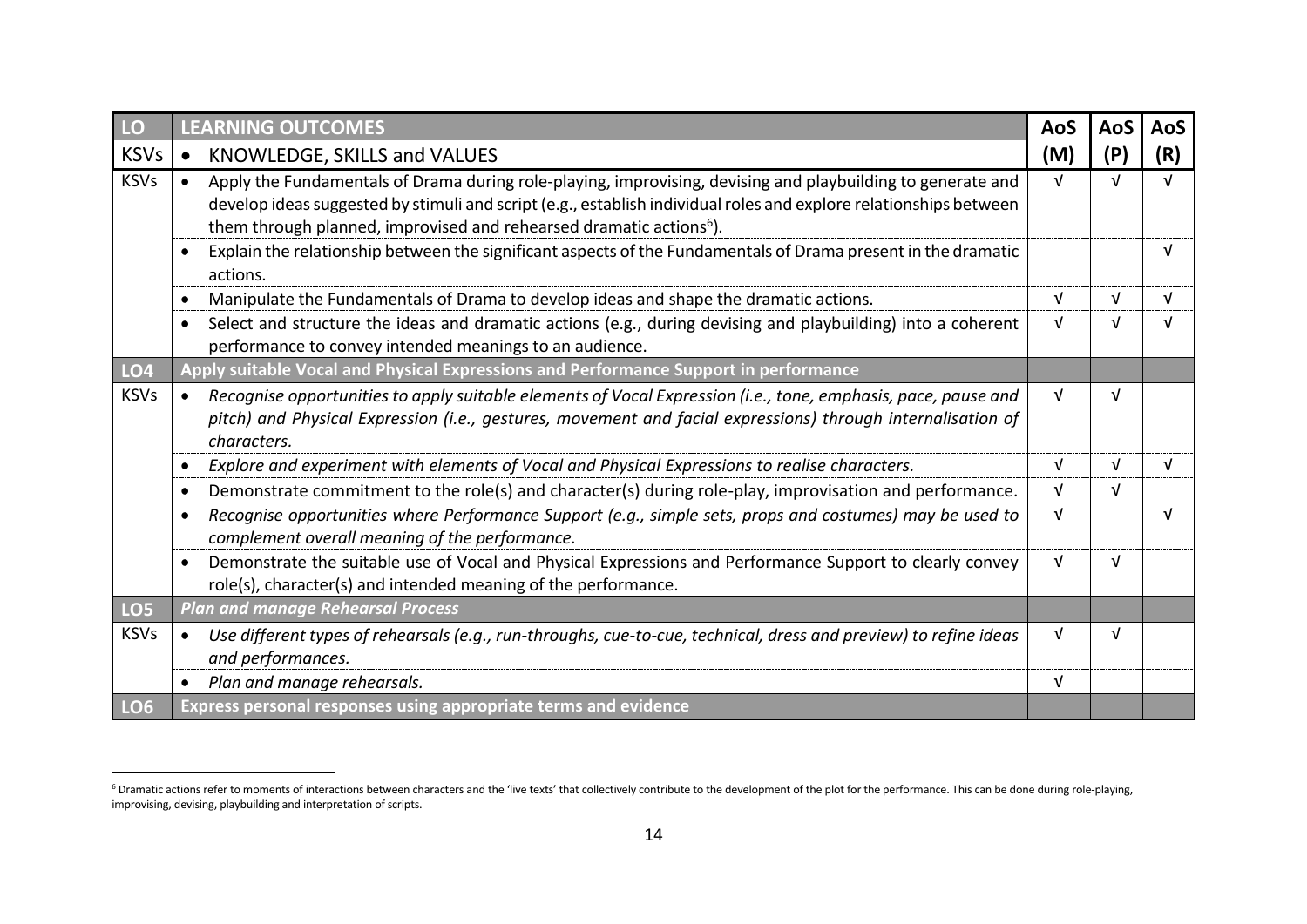| LO              | <b>LEARNING OUTCOMES</b>                                                                                                                                                                                                                                                                                            | <b>AoS</b> | AoS        | AoS |
|-----------------|---------------------------------------------------------------------------------------------------------------------------------------------------------------------------------------------------------------------------------------------------------------------------------------------------------------------|------------|------------|-----|
| <b>KSVs</b>     | KNOWLEDGE, SKILLS and VALUES<br>$\bullet$                                                                                                                                                                                                                                                                           | (M)        | (P)        | (R) |
| <b>KSVs</b>     | Apply the Fundamentals of Drama during role-playing, improvising, devising and playbuilding to generate and<br>develop ideas suggested by stimuli and script (e.g., establish individual roles and explore relationships between<br>them through planned, improvised and rehearsed dramatic actions <sup>6</sup> ). | $\sqrt{ }$ | $\sqrt{ }$ |     |
|                 | Explain the relationship between the significant aspects of the Fundamentals of Drama present in the dramatic<br>actions.                                                                                                                                                                                           |            |            |     |
|                 | Manipulate the Fundamentals of Drama to develop ideas and shape the dramatic actions.                                                                                                                                                                                                                               | $\sqrt{ }$ | $\sqrt{ }$ |     |
|                 | Select and structure the ideas and dramatic actions (e.g., during devising and playbuilding) into a coherent<br>performance to convey intended meanings to an audience.                                                                                                                                             | V          | V          |     |
| LO4             | Apply suitable Vocal and Physical Expressions and Performance Support in performance                                                                                                                                                                                                                                |            |            |     |
| <b>KSVs</b>     | Recognise opportunities to apply suitable elements of Vocal Expression (i.e., tone, emphasis, pace, pause and<br>pitch) and Physical Expression (i.e., gestures, movement and facial expressions) through internalisation of<br>characters.                                                                         | V          | V          |     |
|                 | Explore and experiment with elements of Vocal and Physical Expressions to realise characters.                                                                                                                                                                                                                       | V          | V          |     |
|                 | Demonstrate commitment to the role(s) and character(s) during role-play, improvisation and performance.                                                                                                                                                                                                             | V          | V          |     |
|                 | Recognise opportunities where Performance Support (e.g., simple sets, props and costumes) may be used to<br>complement overall meaning of the performance.                                                                                                                                                          | V          |            |     |
|                 | Demonstrate the suitable use of Vocal and Physical Expressions and Performance Support to clearly convey<br>role(s), character(s) and intended meaning of the performance.                                                                                                                                          | V          | ν          |     |
| LO <sub>5</sub> | <b>Plan and manage Rehearsal Process</b>                                                                                                                                                                                                                                                                            |            |            |     |
| <b>KSVs</b>     | Use different types of rehearsals (e.g., run-throughs, cue-to-cue, technical, dress and preview) to refine ideas<br>and performances.                                                                                                                                                                               | $\sqrt{ }$ | $\sqrt{ }$ |     |
|                 | Plan and manage rehearsals.                                                                                                                                                                                                                                                                                         | $\sqrt{ }$ |            |     |
| LO <sub>6</sub> | Express personal responses using appropriate terms and evidence                                                                                                                                                                                                                                                     |            |            |     |

 $\overline{a}$ 

<sup>&</sup>lt;sup>6</sup> Dramatic actions refer to moments of interactions between characters and the 'live texts' that collectively contribute to the development of the plot for the performance. This can be done during role-playing, improvising, devising, playbuilding and interpretation of scripts.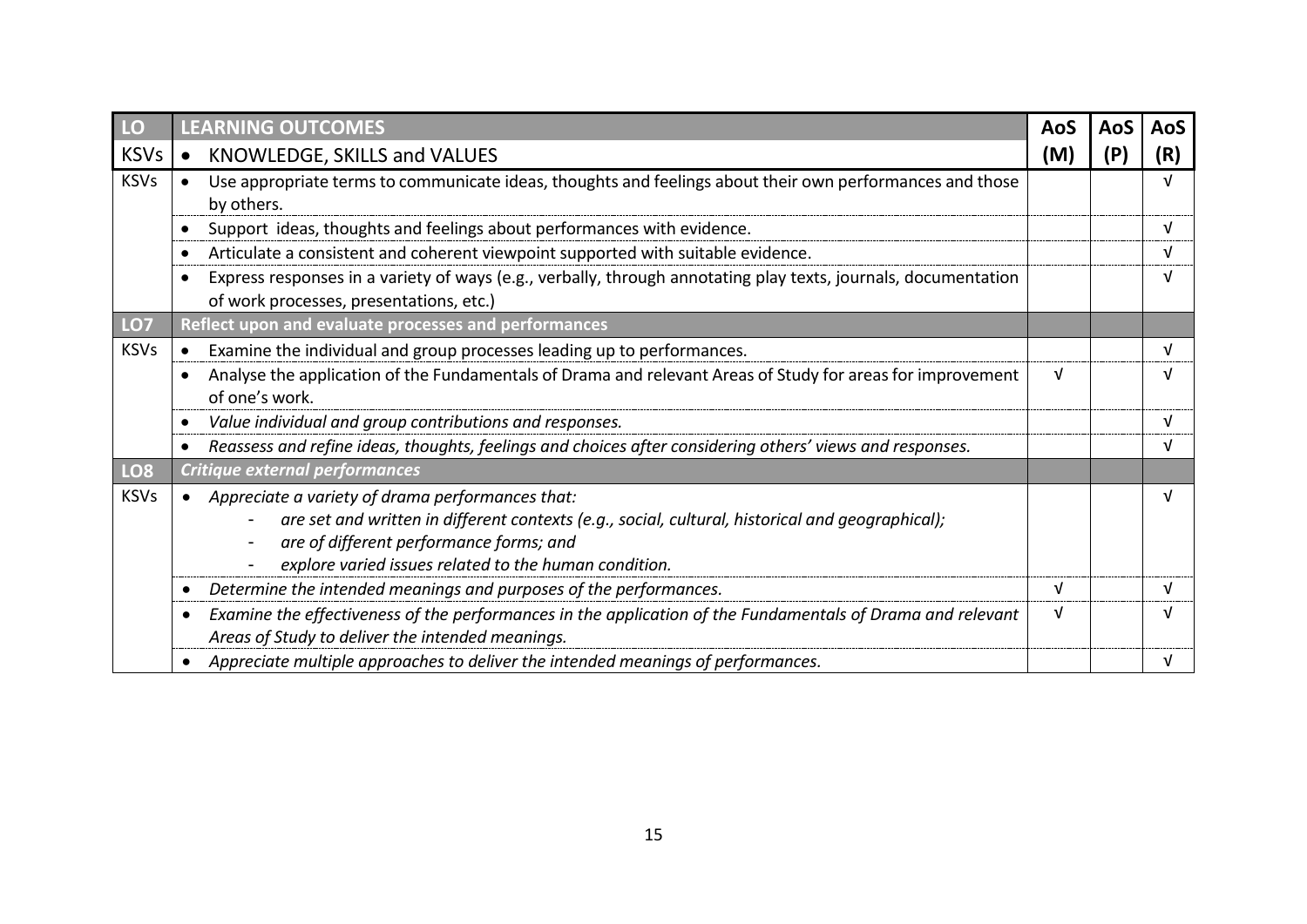| LO              | <b>LEARNING OUTCOMES</b>                                                                                                                                                                                                                                                     | <b>AoS</b> | AoS | AoS |
|-----------------|------------------------------------------------------------------------------------------------------------------------------------------------------------------------------------------------------------------------------------------------------------------------------|------------|-----|-----|
| <b>KSVs</b>     | KNOWLEDGE, SKILLS and VALUES<br>$\bullet$                                                                                                                                                                                                                                    | (M)        | (P  | (R) |
| <b>KSVs</b>     | Use appropriate terms to communicate ideas, thoughts and feelings about their own performances and those<br>by others.                                                                                                                                                       |            |     |     |
|                 | Support ideas, thoughts and feelings about performances with evidence.                                                                                                                                                                                                       |            |     |     |
|                 | Articulate a consistent and coherent viewpoint supported with suitable evidence.                                                                                                                                                                                             |            |     |     |
|                 | Express responses in a variety of ways (e.g., verbally, through annotating play texts, journals, documentation<br>of work processes, presentations, etc.)                                                                                                                    |            |     |     |
| LO7             | Reflect upon and evaluate processes and performances                                                                                                                                                                                                                         |            |     |     |
| <b>KSVs</b>     | Examine the individual and group processes leading up to performances.                                                                                                                                                                                                       |            |     |     |
|                 | Analyse the application of the Fundamentals of Drama and relevant Areas of Study for areas for improvement<br>of one's work.                                                                                                                                                 | V          |     |     |
|                 | Value individual and group contributions and responses.                                                                                                                                                                                                                      |            |     |     |
|                 | Reassess and refine ideas, thoughts, feelings and choices after considering others' views and responses.                                                                                                                                                                     |            |     |     |
| LO <sub>8</sub> | <b>Critique external performances</b>                                                                                                                                                                                                                                        |            |     |     |
| <b>KSVs</b>     | • Appreciate a variety of drama performances that:<br>are set and written in different contexts (e.g., social, cultural, historical and geographical);<br>are of different performance forms; and<br>$\blacksquare$<br>explore varied issues related to the human condition. |            |     |     |
|                 | Determine the intended meanings and purposes of the performances.                                                                                                                                                                                                            | v          |     |     |
|                 | Examine the effectiveness of the performances in the application of the Fundamentals of Drama and relevant<br>Areas of Study to deliver the intended meanings.                                                                                                               | V          |     |     |
|                 | Appreciate multiple approaches to deliver the intended meanings of performances.                                                                                                                                                                                             |            |     |     |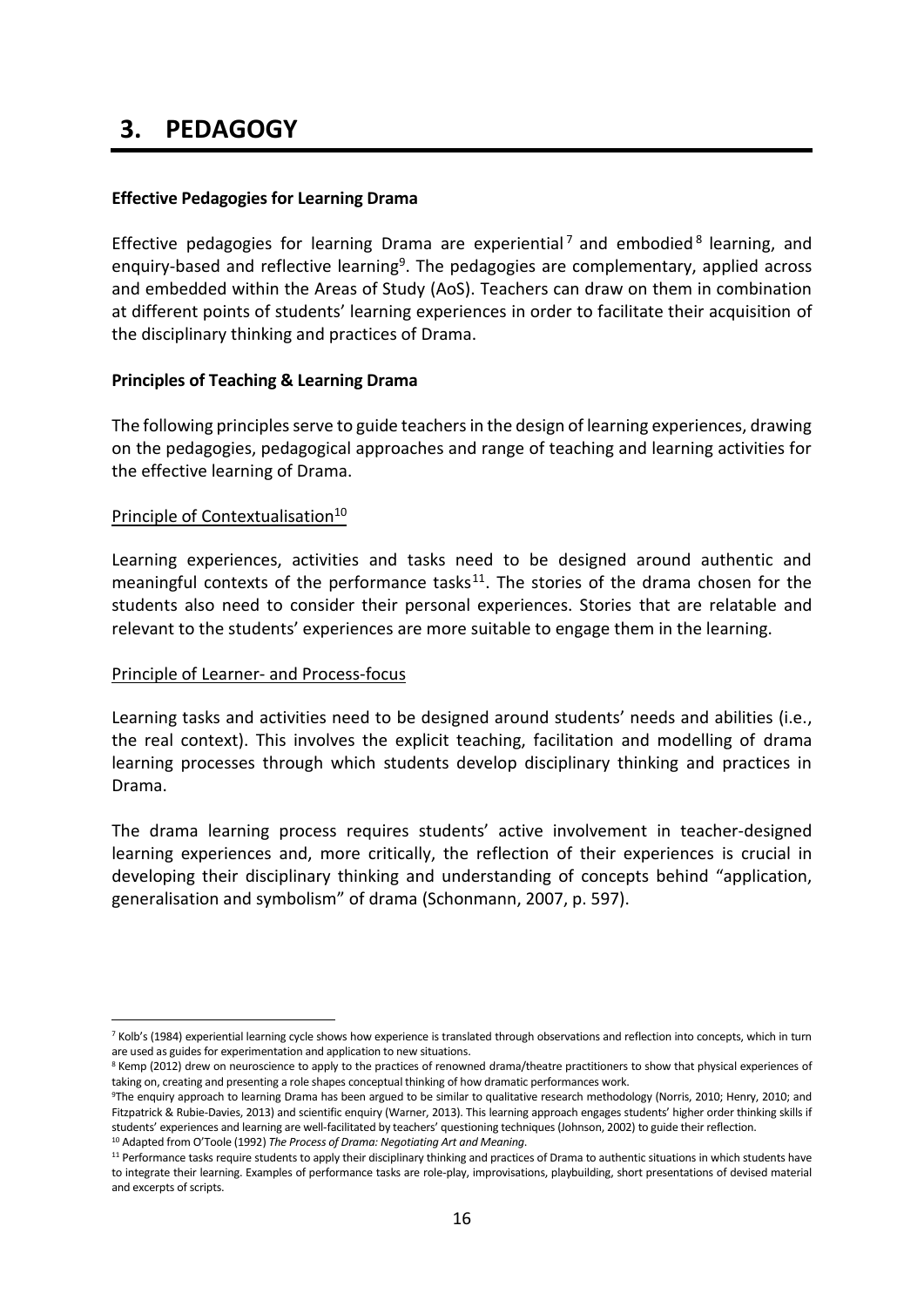### **3. PEDAGOGY**

#### <span id="page-15-0"></span>**Effective Pedagogies for Learning Drama**

Effective pedagogies for learning Drama are experiential<sup>7</sup> and embodied<sup>8</sup> learning, and enquiry-based and reflective learning<sup>9</sup>. The pedagogies are complementary, applied across and embedded within the Areas of Study (AoS). Teachers can draw on them in combination at different points of students' learning experiences in order to facilitate their acquisition of the disciplinary thinking and practices of Drama.

#### <span id="page-15-1"></span>**Principles of Teaching & Learning Drama**

The following principles serve to guide teachers in the design of learning experiences, drawing on the pedagogies, pedagogical approaches and range of teaching and learning activities for the effective learning of Drama.

#### Principle of Contextualisation<sup>10</sup>

Learning experiences, activities and tasks need to be designed around authentic and meaningful contexts of the performance tasks $11$ . The stories of the drama chosen for the students also need to consider their personal experiences. Stories that are relatable and relevant to the students' experiences are more suitable to engage them in the learning.

#### Principle of Learner- and Process-focus

1

Learning tasks and activities need to be designed around students' needs and abilities (i.e., the real context). This involves the explicit teaching, facilitation and modelling of drama learning processes through which students develop disciplinary thinking and practices in Drama.

The drama learning process requires students' active involvement in teacher-designed learning experiences and, more critically, the reflection of their experiences is crucial in developing their disciplinary thinking and understanding of concepts behind "application, generalisation and symbolism" of drama (Schonmann, 2007, p. 597).

<sup>7</sup> Kolb's (1984) experiential learning cycle shows how experience is translated through observations and reflection into concepts, which in turn are used as guides for experimentation and application to new situations.

<sup>&</sup>lt;sup>8</sup> Kemp (2012) drew on neuroscience to apply to the practices of renowned drama/theatre practitioners to show that physical experiences of taking on, creating and presenting a role shapes conceptual thinking of how dramatic performances work.

<sup>&</sup>lt;sup>9</sup>The enquiry approach to learning Drama has been argued to be similar to qualitative research methodology (Norris, 2010; Henry, 2010; and Fitzpatrick & Rubie-Davies, 2013) and scientific enquiry (Warner, 2013). This learning approach engages students' higher order thinking skills if students' experiences and learning are well-facilitated by teachers' questioning techniques (Johnson, 2002) to guide their reflection.

<sup>10</sup> Adapted from O'Toole (1992) *The Process of Drama: Negotiating Art and Meaning*.

<sup>&</sup>lt;sup>11</sup> Performance tasks require students to apply their disciplinary thinking and practices of Drama to authentic situations in which students have to integrate their learning. Examples of performance tasks are role-play, improvisations, playbuilding, short presentations of devised material and excerpts of scripts.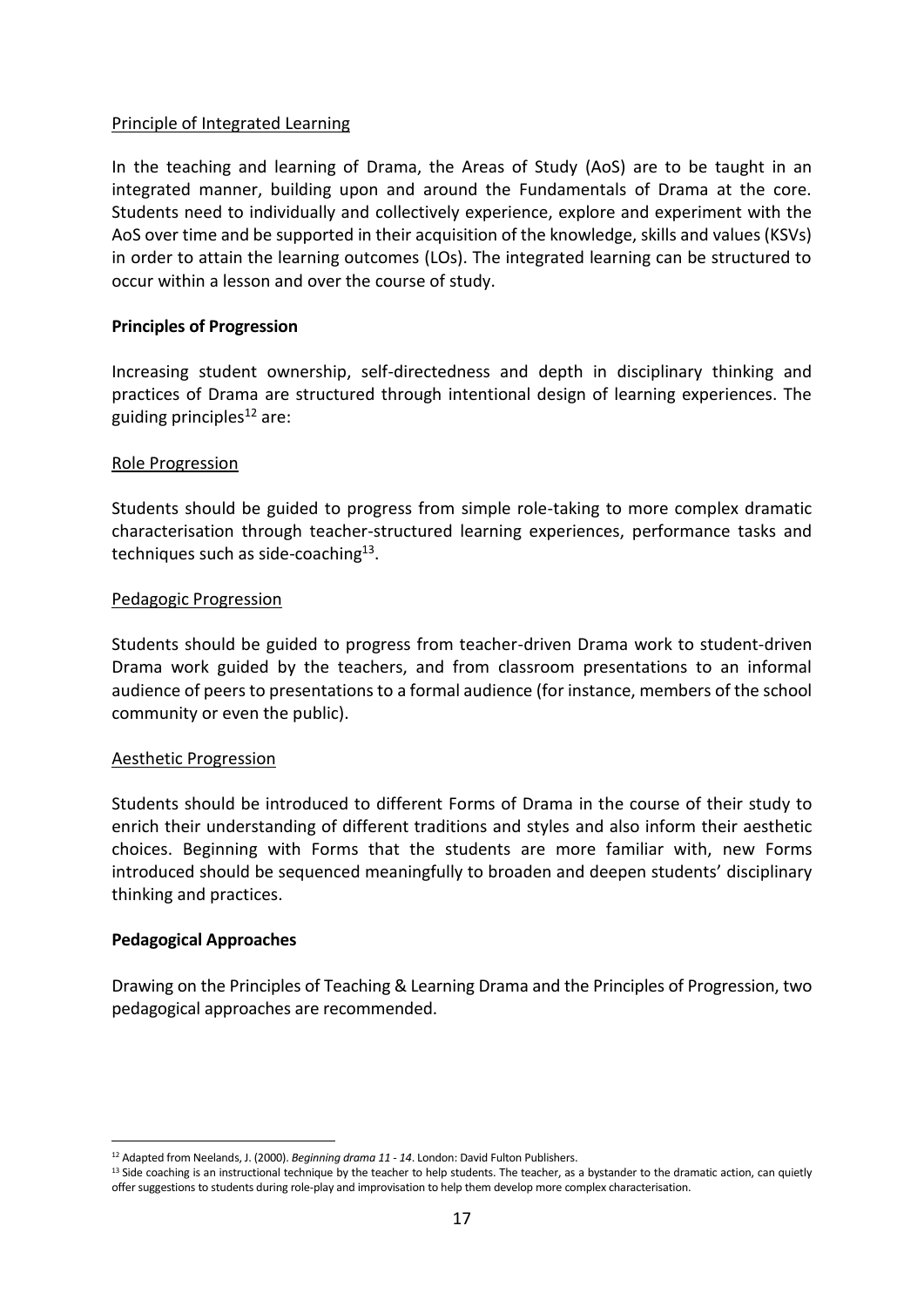#### Principle of Integrated Learning

In the teaching and learning of Drama, the Areas of Study (AoS) are to be taught in an integrated manner, building upon and around the Fundamentals of Drama at the core. Students need to individually and collectively experience, explore and experiment with the AoS over time and be supported in their acquisition of the knowledge, skills and values (KSVs) in order to attain the learning outcomes (LOs). The integrated learning can be structured to occur within a lesson and over the course of study.

#### <span id="page-16-0"></span>**Principles of Progression**

Increasing student ownership, self-directedness and depth in disciplinary thinking and practices of Drama are structured through intentional design of learning experiences. The guiding principles $12$  are:

#### Role Progression

Students should be guided to progress from simple role-taking to more complex dramatic characterisation through teacher-structured learning experiences, performance tasks and techniques such as side-coaching<sup>13</sup>.

#### Pedagogic Progression

Students should be guided to progress from teacher-driven Drama work to student-driven Drama work guided by the teachers, and from classroom presentations to an informal audience of peers to presentations to a formal audience (for instance, members of the school community or even the public).

#### Aesthetic Progression

Students should be introduced to different Forms of Drama in the course of their study to enrich their understanding of different traditions and styles and also inform their aesthetic choices. Beginning with Forms that the students are more familiar with, new Forms introduced should be sequenced meaningfully to broaden and deepen students' disciplinary thinking and practices.

#### <span id="page-16-1"></span>**Pedagogical Approaches**

Drawing on the Principles of Teaching & Learning Drama and the Principles of Progression, two pedagogical approaches are recommended.

<sup>1</sup> <sup>12</sup> Adapted from Neelands, J. (2000). *Beginning drama 11 - 14*. London: David Fulton Publishers.

<sup>&</sup>lt;sup>13</sup> Side coaching is an instructional technique by the teacher to help students. The teacher, as a bystander to the dramatic action, can quietly offer suggestions to students during role-play and improvisation to help them develop more complex characterisation.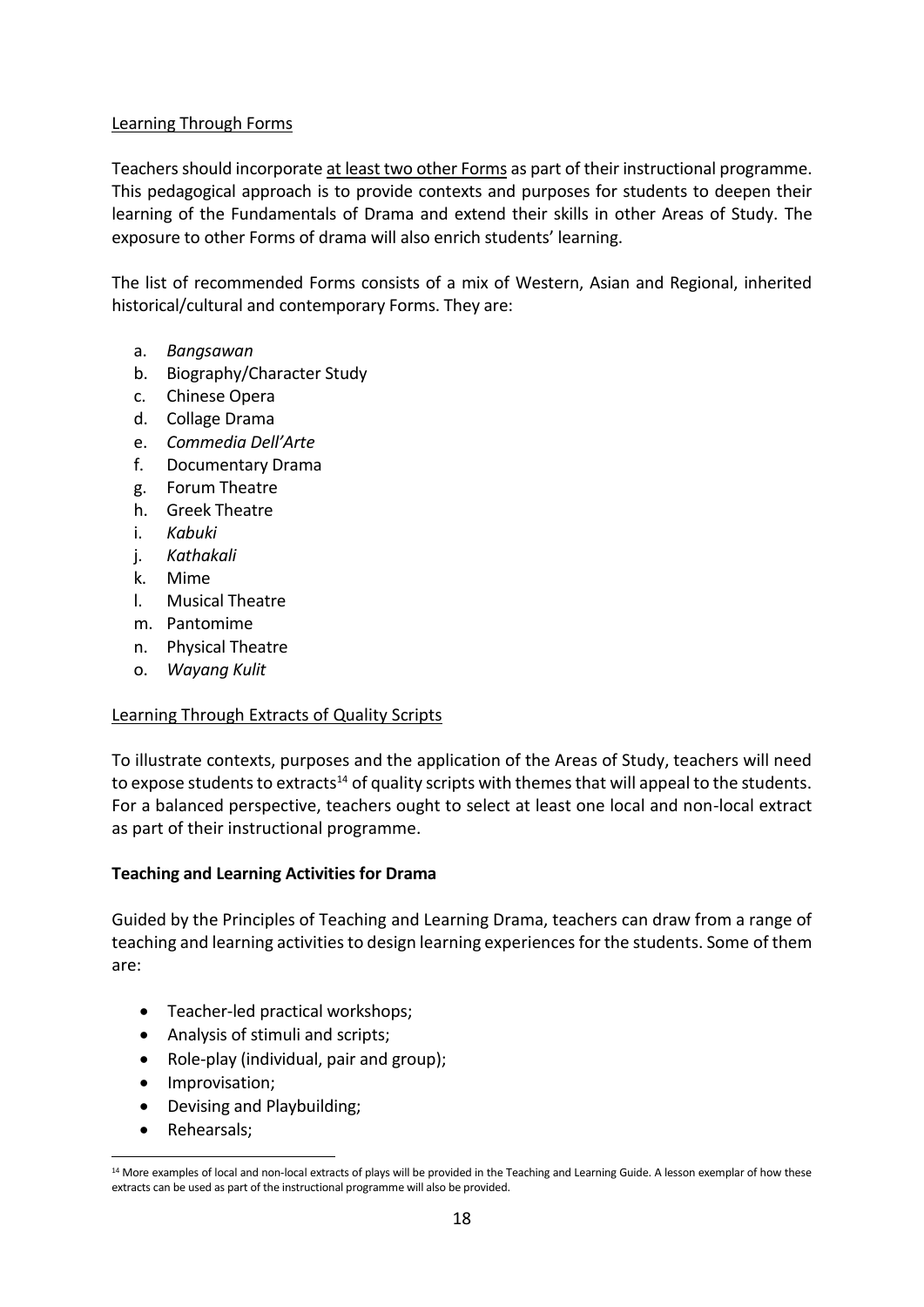#### Learning Through Forms

Teachers should incorporate at least two other Forms as part of their instructional programme. This pedagogical approach is to provide contexts and purposes for students to deepen their learning of the Fundamentals of Drama and extend their skills in other Areas of Study. The exposure to other Forms of drama will also enrich students' learning.

The list of recommended Forms consists of a mix of Western, Asian and Regional, inherited historical/cultural and contemporary Forms. They are:

- a. *Bangsawan*
- b. Biography/Character Study
- c. Chinese Opera
- d. Collage Drama
- e. *Commedia Dell'Arte*
- f. Documentary Drama
- g. Forum Theatre
- h. Greek Theatre
- i. *Kabuki*
- j. *Kathakali*
- k. Mime
- l. Musical Theatre
- m. Pantomime
- n. Physical Theatre
- o. *Wayang Kulit*

#### Learning Through Extracts of Quality Scripts

To illustrate contexts, purposes and the application of the Areas of Study, teachers will need to expose students to extracts<sup>14</sup> of quality scripts with themes that will appeal to the students. For a balanced perspective, teachers ought to select at least one local and non-local extract as part of their instructional programme.

#### <span id="page-17-0"></span>**Teaching and Learning Activities for Drama**

Guided by the Principles of Teaching and Learning Drama, teachers can draw from a range of teaching and learning activities to design learning experiences for the students. Some of them are:

- Teacher-led practical workshops;
- Analysis of stimuli and scripts;
- Role-play (individual, pair and group);
- Improvisation;
- Devising and Playbuilding;
- Rehearsals;

1

<sup>&</sup>lt;sup>14</sup> More examples of local and non-local extracts of plays will be provided in the Teaching and Learning Guide. A lesson exemplar of how these extracts can be used as part of the instructional programme will also be provided.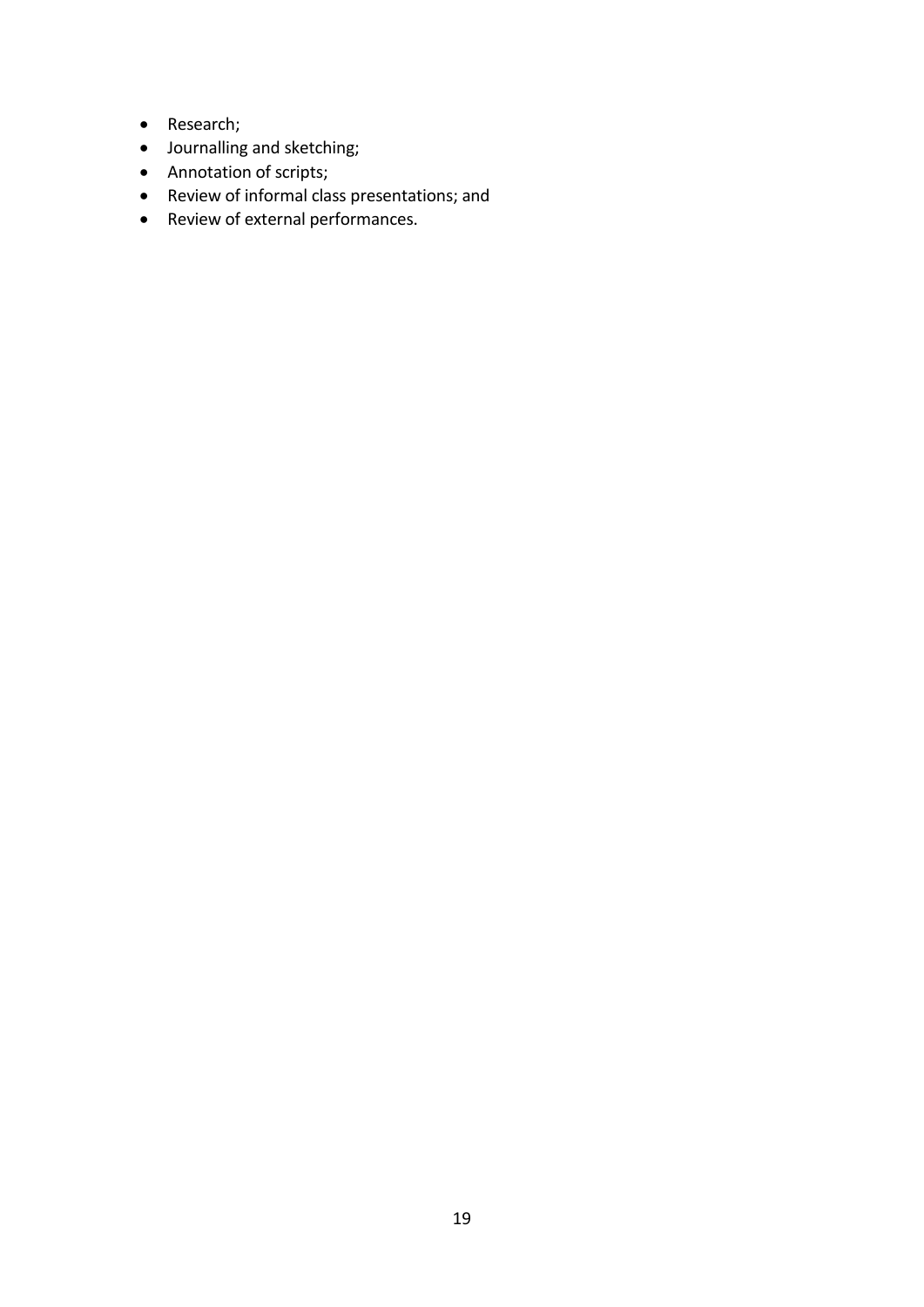- Research;
- Journalling and sketching;
- Annotation of scripts;
- Review of informal class presentations; and
- Review of external performances.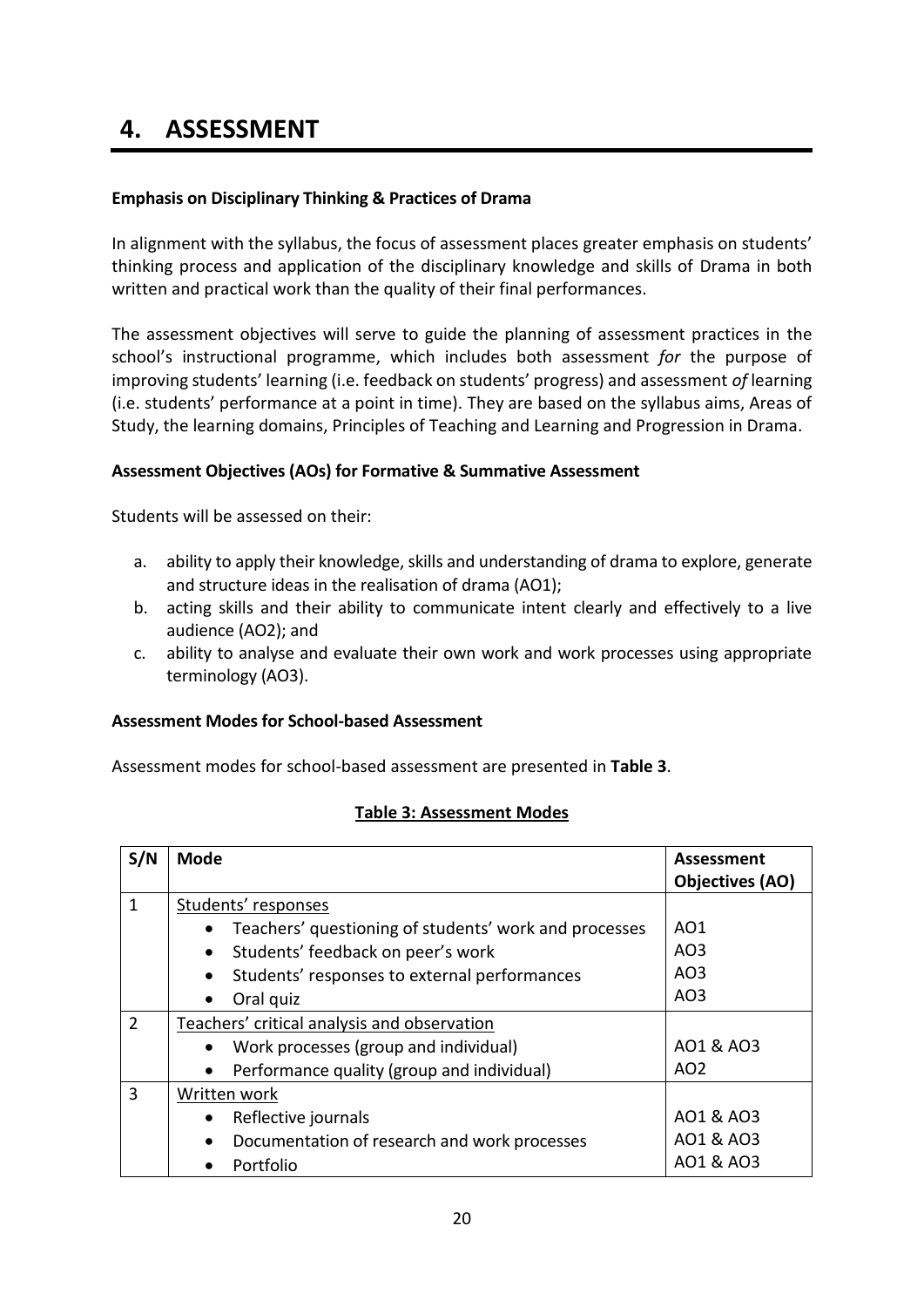### **4. ASSESSMENT**

#### <span id="page-19-0"></span>**Emphasis on Disciplinary Thinking & Practices of Drama**

In alignment with the syllabus, the focus of assessment places greater emphasis on students' thinking process and application of the disciplinary knowledge and skills of Drama in both written and practical work than the quality of their final performances.

The assessment objectives will serve to guide the planning of assessment practices in the school's instructional programme, which includes both assessment *for* the purpose of improving students' learning (i.e. feedback on students' progress) and assessment *of* learning (i.e. students' performance at a point in time). They are based on the syllabus aims, Areas of Study, the learning domains, Principles of Teaching and Learning and Progression in Drama.

#### <span id="page-19-1"></span>**Assessment Objectives (AOs) for Formative & Summative Assessment**

Students will be assessed on their:

- a. ability to apply their knowledge, skills and understanding of drama to explore, generate and structure ideas in the realisation of drama (AO1);
- b. acting skills and their ability to communicate intent clearly and effectively to a live audience (AO2); and
- c. ability to analyse and evaluate their own work and work processes using appropriate terminology (AO3).

#### <span id="page-19-2"></span>**Assessment Modes for School-based Assessment**

Assessment modes for school-based assessment are presented in **Table 3**.

| S/N           | <b>Mode</b>                                               | Assessment<br>Objectives (AO) |
|---------------|-----------------------------------------------------------|-------------------------------|
| $\mathbf{1}$  | Students' responses                                       |                               |
|               | Teachers' questioning of students' work and processes     | AO1                           |
|               | Students' feedback on peer's work<br>$\bullet$            | AO3                           |
|               | Students' responses to external performances              | AO <sub>3</sub>               |
|               | Oral quiz<br>$\bullet$                                    | AO <sub>3</sub>               |
| $\mathcal{P}$ | Teachers' critical analysis and observation               |                               |
|               | Work processes (group and individual)<br>$\bullet$        | A01 & A03                     |
|               | Performance quality (group and individual)<br>$\bullet$   | AO <sub>2</sub>               |
| 3             | Written work                                              |                               |
|               | Reflective journals                                       | A01 & A03                     |
|               | Documentation of research and work processes<br>$\bullet$ | AO1 & AO3                     |
|               | Portfolio                                                 | AO1 & AO3                     |

#### **Table 3: Assessment Modes**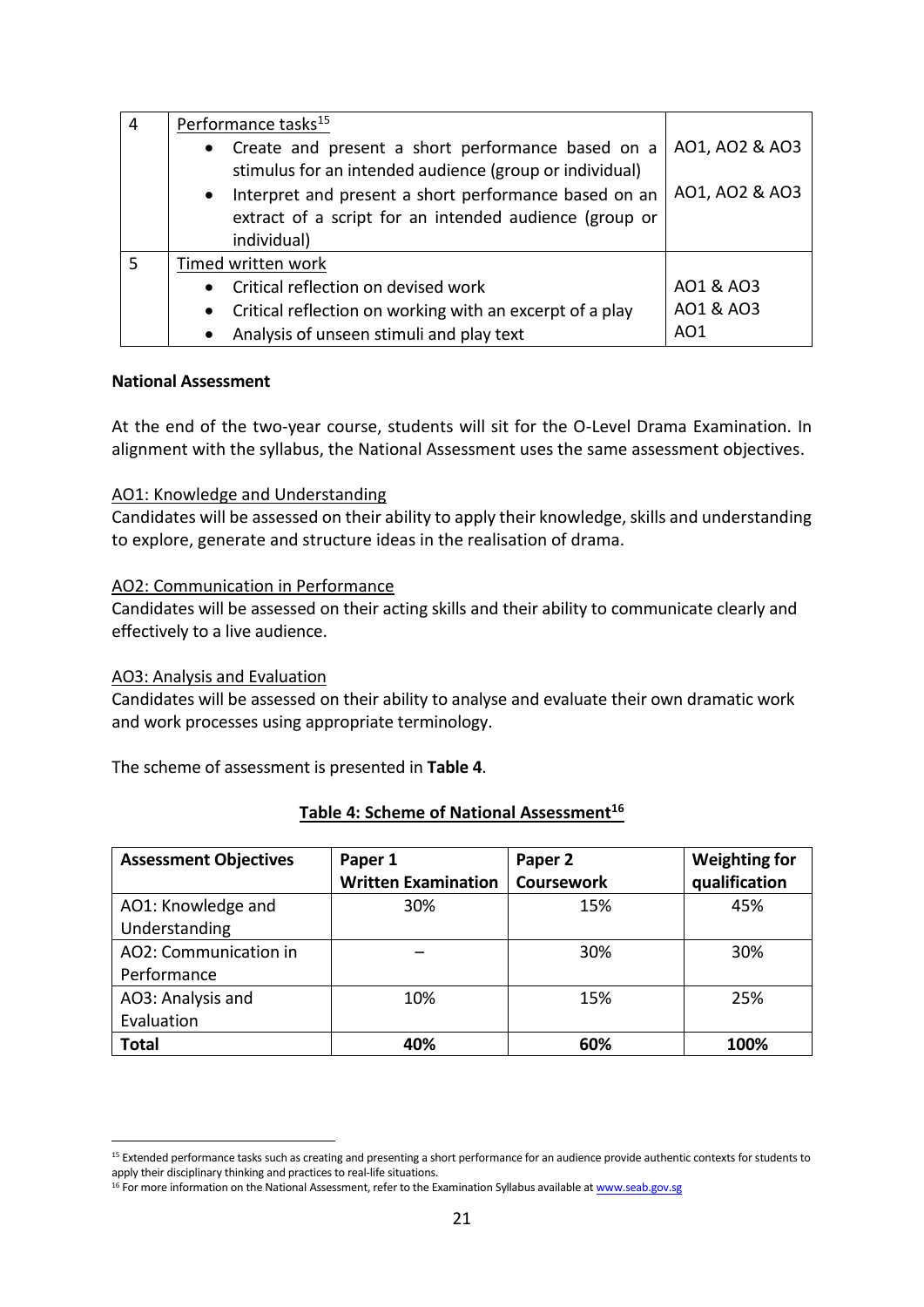| 4 | Performance tasks <sup>15</sup>                                                                                              |                |
|---|------------------------------------------------------------------------------------------------------------------------------|----------------|
|   | • Create and present a short performance based on a<br>stimulus for an intended audience (group or individual)               | AO1, AO2 & AO3 |
|   | Interpret and present a short performance based on an<br>$\bullet$<br>extract of a script for an intended audience (group or | A01, A02 & A03 |
|   | individual)                                                                                                                  |                |
|   | Timed written work                                                                                                           |                |
|   | • Critical reflection on devised work                                                                                        | AO1 & AO3      |
|   | Critical reflection on working with an excerpt of a play<br>$\bullet$                                                        | A01 & A03      |
|   | Analysis of unseen stimuli and play text<br>$\bullet$                                                                        | AO1            |

#### **National Assessment**

At the end of the two-year course, students will sit for the O-Level Drama Examination. In alignment with the syllabus, the National Assessment uses the same assessment objectives.

#### AO1: Knowledge and Understanding

Candidates will be assessed on their ability to apply their knowledge, skills and understanding to explore, generate and structure ideas in the realisation of drama.

#### AO2: Communication in Performance

Candidates will be assessed on their acting skills and their ability to communicate clearly and effectively to a live audience.

#### AO3: Analysis and Evaluation

1

Candidates will be assessed on their ability to analyse and evaluate their own dramatic work and work processes using appropriate terminology.

The scheme of assessment is presented in **Table 4**.

| <b>Assessment Objectives</b> | Paper 1<br><b>Written Examination</b> | Paper 2<br><b>Coursework</b> | <b>Weighting for</b><br>qualification |
|------------------------------|---------------------------------------|------------------------------|---------------------------------------|
| AO1: Knowledge and           | 30%                                   | 15%                          | 45%                                   |
| Understanding                |                                       |                              |                                       |
| AO2: Communication in        |                                       | 30%                          | 30%                                   |
| Performance                  |                                       |                              |                                       |
| AO3: Analysis and            | 10%                                   | 15%                          | 25%                                   |
| Evaluation                   |                                       |                              |                                       |
| <b>Total</b>                 | 40%                                   | 60%                          | 100%                                  |

#### **Table 4: Scheme of National Assessment<sup>16</sup>**

<sup>15</sup> Extended performance tasks such as creating and presenting a short performance for an audience provide authentic contexts for students to apply their disciplinary thinking and practices to real-life situations.

<sup>&</sup>lt;sup>16</sup> For more information on the National Assessment, refer to the Examination Syllabus available a[t www.seab.gov.sg](http://www.seab.gov.sg/)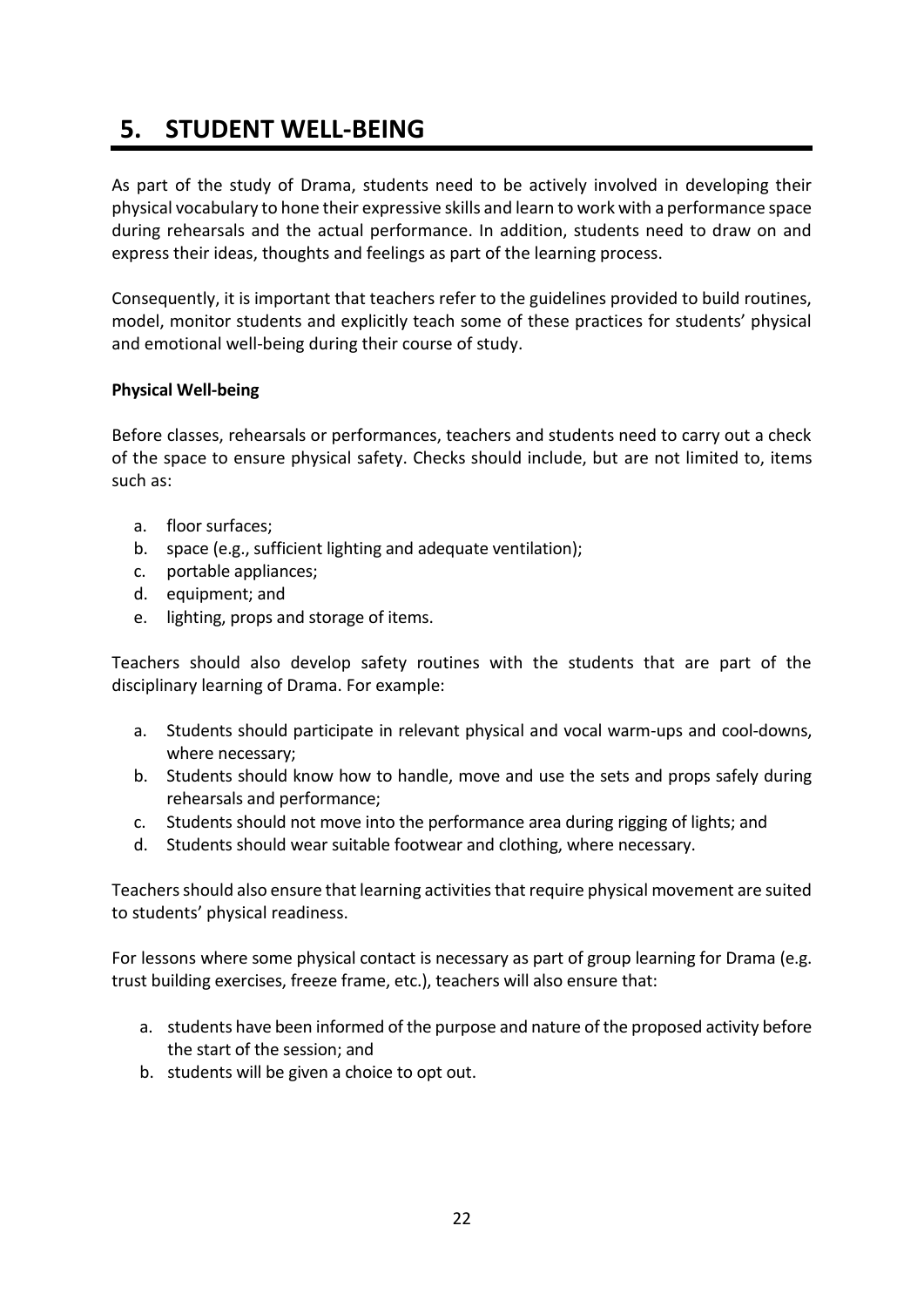# **5. STUDENT WELL-BEING**

As part of the study of Drama, students need to be actively involved in developing their physical vocabulary to hone their expressive skills and learn to work with a performance space during rehearsals and the actual performance. In addition, students need to draw on and express their ideas, thoughts and feelings as part of the learning process.

Consequently, it is important that teachers refer to the guidelines provided to build routines, model, monitor students and explicitly teach some of these practices for students' physical and emotional well-being during their course of study.

#### <span id="page-21-0"></span>**Physical Well-being**

Before classes, rehearsals or performances, teachers and students need to carry out a check of the space to ensure physical safety. Checks should include, but are not limited to, items such as:

- a. floor surfaces;
- b. space (e.g., sufficient lighting and adequate ventilation);
- c. portable appliances;
- d. equipment; and
- e. lighting, props and storage of items.

Teachers should also develop safety routines with the students that are part of the disciplinary learning of Drama. For example:

- a. Students should participate in relevant physical and vocal warm-ups and cool-downs, where necessary;
- b. Students should know how to handle, move and use the sets and props safely during rehearsals and performance;
- c. Students should not move into the performance area during rigging of lights; and
- d. Students should wear suitable footwear and clothing, where necessary.

Teachers should also ensure that learning activities that require physical movement are suited to students' physical readiness.

For lessons where some physical contact is necessary as part of group learning for Drama (e.g. trust building exercises, freeze frame, etc.), teachers will also ensure that:

- a. students have been informed of the purpose and nature of the proposed activity before the start of the session; and
- <span id="page-21-1"></span>b. students will be given a choice to opt out.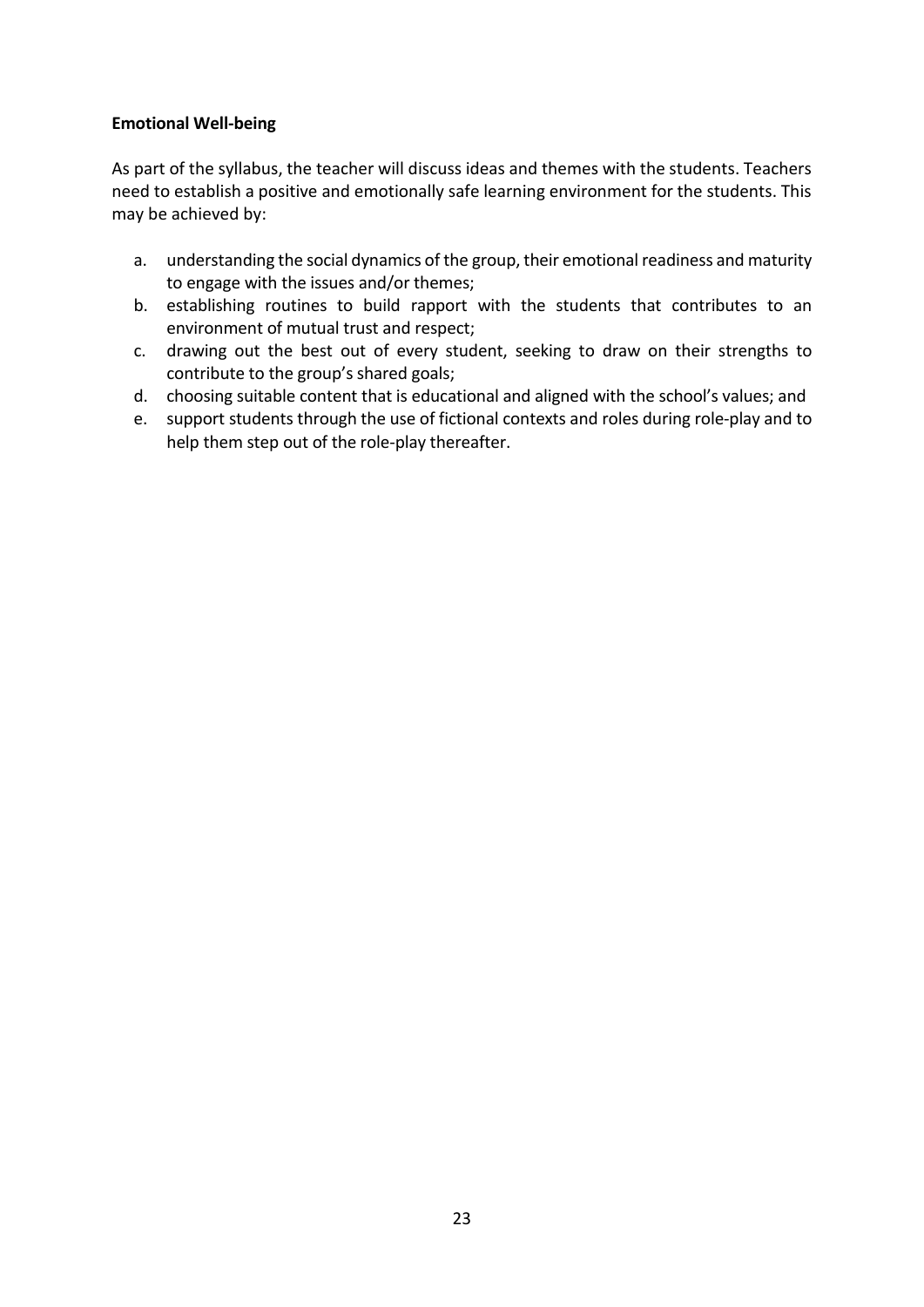#### **Emotional Well-being**

As part of the syllabus, the teacher will discuss ideas and themes with the students. Teachers need to establish a positive and emotionally safe learning environment for the students. This may be achieved by:

- a. understanding the social dynamics of the group, their emotional readiness and maturity to engage with the issues and/or themes;
- b. establishing routines to build rapport with the students that contributes to an environment of mutual trust and respect;
- c. drawing out the best out of every student, seeking to draw on their strengths to contribute to the group's shared goals;
- d. choosing suitable content that is educational and aligned with the school's values; and
- e. support students through the use of fictional contexts and roles during role-play and to help them step out of the role-play thereafter.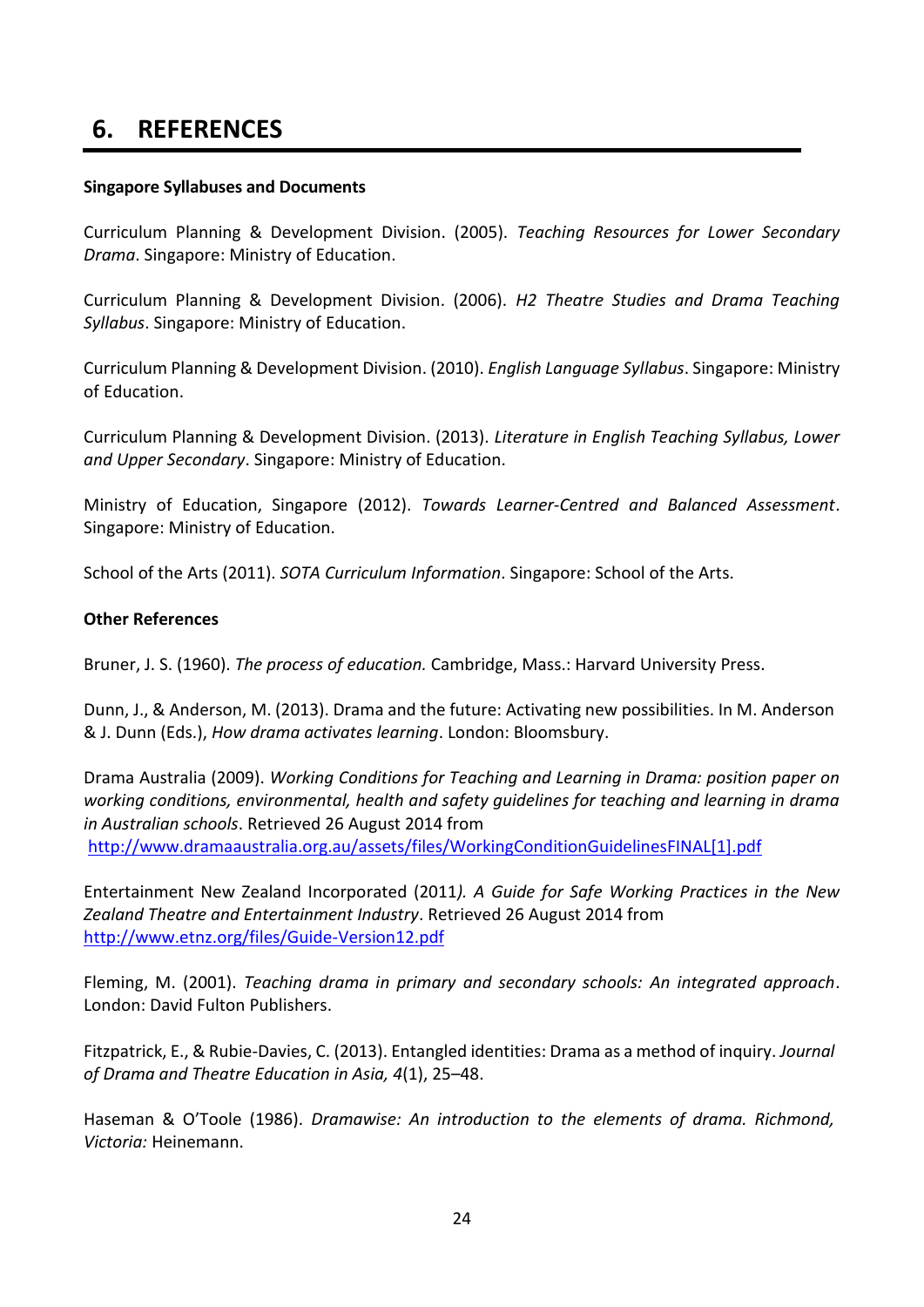## **6. REFERENCES**

#### <span id="page-23-0"></span>**Singapore Syllabuses and Documents**

Curriculum Planning & Development Division. (2005). *Teaching Resources for Lower Secondary Drama*. Singapore: Ministry of Education.

Curriculum Planning & Development Division. (2006). *H2 Theatre Studies and Drama Teaching Syllabus*. Singapore: Ministry of Education.

Curriculum Planning & Development Division. (2010). *English Language Syllabus*. Singapore: Ministry of Education.

Curriculum Planning & Development Division. (2013). *Literature in English Teaching Syllabus, Lower and Upper Secondary*. Singapore: Ministry of Education.

Ministry of Education, Singapore (2012). *Towards Learner-Centred and Balanced Assessment*. Singapore: Ministry of Education.

School of the Arts (2011). *SOTA Curriculum Information*. Singapore: School of the Arts.

#### **Other References**

Bruner, J. S. (1960). *The process of education.* Cambridge, Mass.: Harvard University Press.

Dunn, J., & Anderson, M. (2013). Drama and the future: Activating new possibilities. In M. Anderson & J. Dunn (Eds.), *How drama activates learning*. London: Bloomsbury.

Drama Australia (2009). *Working Conditions for Teaching and Learning in Drama: position paper on working conditions, environmental, health and safety guidelines for teaching and learning in drama in Australian schools*. Retrieved 26 August 2014 from [http://www.dramaaustralia.org.au/assets/files/WorkingConditionGuidelinesFINAL\[1\].pdf](http://www.dramaaustralia.org.au/assets/files/WorkingConditionGuidelinesFINAL%5b1%5d.pdf)

Entertainment New Zealand Incorporated (2011*). A Guide for Safe Working Practices in the New Zealand Theatre and Entertainment Industry*. Retrieved 26 August 2014 from <http://www.etnz.org/files/Guide-Version12.pdf>

Fleming, M. (2001). *Teaching drama in primary and secondary schools: An integrated approach*. London: David Fulton Publishers.

Fitzpatrick, E., & Rubie-Davies, C. (2013). Entangled identities: Drama as a method of inquiry. *Journal of Drama and Theatre Education in Asia, 4*(1), 25–48.

Haseman & O'Toole (1986). *Dramawise: An introduction to the elements of drama. Richmond, Victoria:* Heinemann.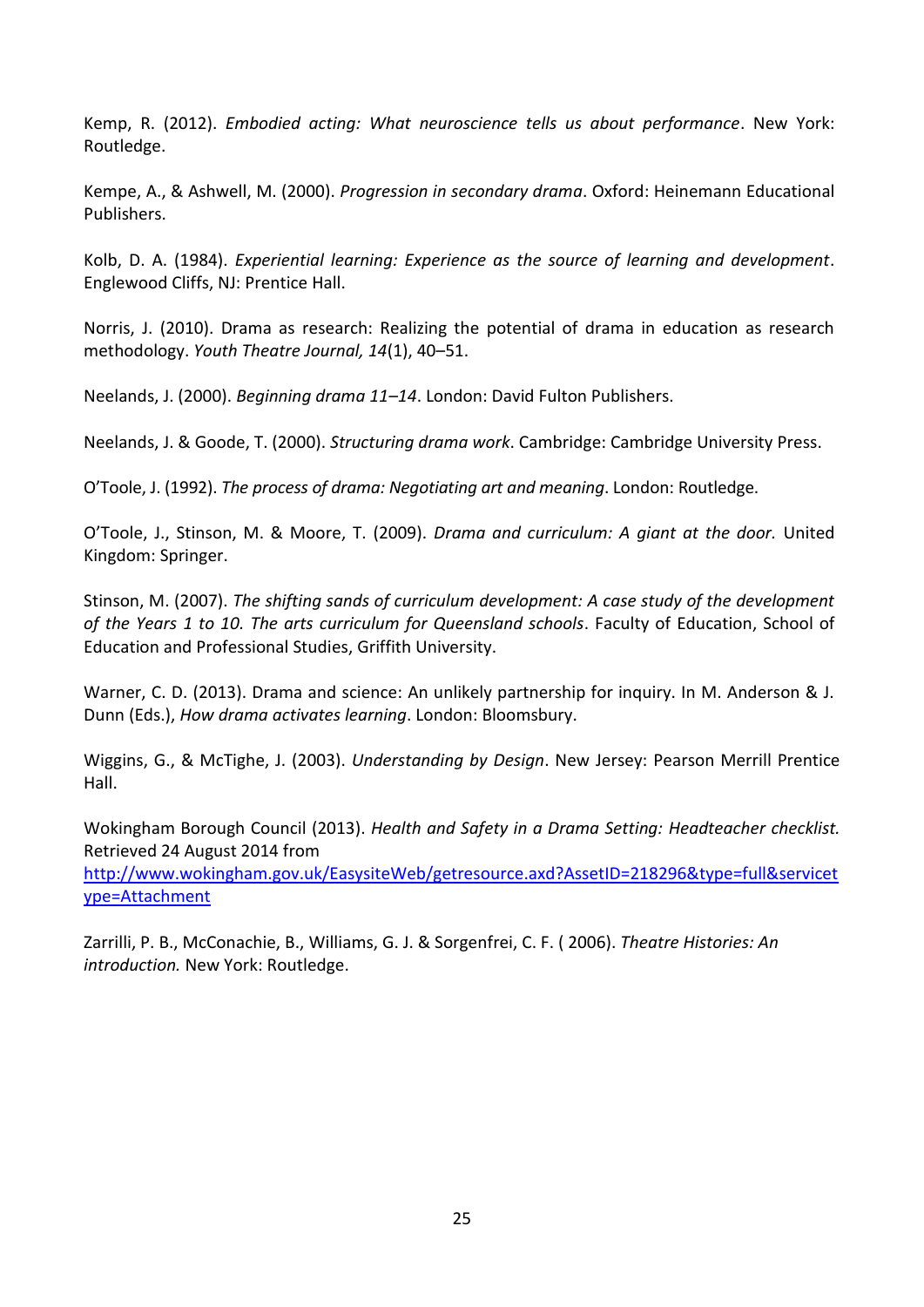Kemp, R. (2012). *Embodied acting: What neuroscience tells us about performance*. New York: Routledge.

Kempe, A., & Ashwell, M. (2000). *Progression in secondary drama*. Oxford: Heinemann Educational Publishers.

Kolb, D. A. (1984). *Experiential learning: Experience as the source of learning and development*. Englewood Cliffs, NJ: Prentice Hall.

Norris, J. (2010). Drama as research: Realizing the potential of drama in education as research methodology. *Youth Theatre Journal, 14*(1), 40–51.

Neelands, J. (2000). *Beginning drama 11–14*. London: David Fulton Publishers.

Neelands, J. & Goode, T. (2000). *Structuring drama work*. Cambridge: Cambridge University Press.

O'Toole, J. (1992). *The process of drama: Negotiating art and meaning*. London: Routledge.

O'Toole, J., Stinson, M. & Moore, T. (2009). *Drama and curriculum: A giant at the door.* United Kingdom: Springer.

Stinson, M. (2007). *The shifting sands of curriculum development: A case study of the development of the Years 1 to 10. The arts curriculum for Queensland schools*. Faculty of Education, School of Education and Professional Studies, Griffith University.

Warner, C. D. (2013). Drama and science: An unlikely partnership for inquiry. In M. Anderson & J. Dunn (Eds.), *How drama activates learning*. London: Bloomsbury.

Wiggins, G., & McTighe, J. (2003). *Understanding by Design*. New Jersey: Pearson Merrill Prentice Hall.

Wokingham Borough Council (2013). *Health and Safety in a Drama Setting: Headteacher checklist.*  Retrieved 24 August 2014 from

[http://www.wokingham.gov.uk/EasysiteWeb/getresource.axd?AssetID=218296&type=full&servicet](http://www.wokingham.gov.uk/EasysiteWeb/getresource.axd?AssetID=218296&type=full&servicetype=Attachment) [ype=Attachment](http://www.wokingham.gov.uk/EasysiteWeb/getresource.axd?AssetID=218296&type=full&servicetype=Attachment)

Zarrilli, P. B., McConachie, B., Williams, G. J. & Sorgenfrei, C. F. ( 2006). *Theatre Histories: An introduction.* New York: Routledge.